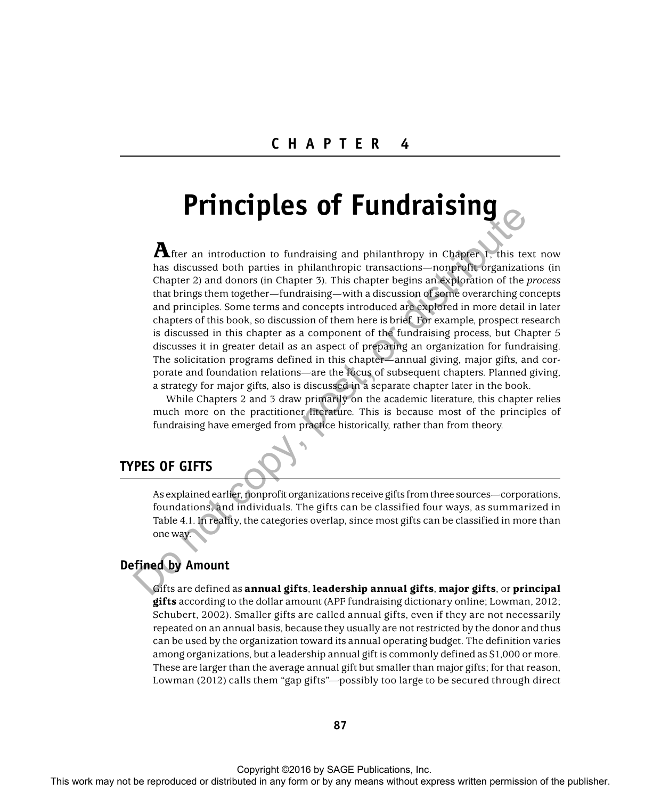# **Principles of Fundraising**

 ${\bf A}$ fter an introduction to fundraising and philanthropy in Chapter 1, this text now has discussed both parties in philanthropic transactions—nonprofit organizations (in Chapter 2) and donors (in Chapter 3). This chapter begins an exploration of the *process* that brings them together—fundraising—with a discussion of some overarching concepts and principles. Some terms and concepts introduced are explored in more detail in later chapters of this book, so discussion of them here is brief. For example, prospect research is discussed in this chapter as a component of the fundraising process, but Chapter 5 discusses it in greater detail as an aspect of preparing an organization for fundraising. The solicitation programs defined in this chapter—annual giving, major gifts, and corporate and foundation relations—are the focus of subsequent chapters. Planned giving, a strategy for major gifts, also is discussed in a separate chapter later in the book. **THIS WEST OF THIS WEST OR DEFINITION** (**Copyright)** in Cupyre in the reproduced of the publishering in any form or by any means weaker and converges the may not be reproduced in the permission of the publishering concept

While Chapters 2 and 3 draw primarily on the academic literature, this chapter relies much more on the practitioner literature. This is because most of the principles of fundraising have emerged from practice historically, rather than from theory.

# **TYPES OF GIFTS**

As explained earlier, nonprofit organizations receive gifts from three sources— corporations, foundations, and individuals. The gifts can be classified four ways, as summarized in Table 4.1. In reality, the categories overlap, since most gifts can be classified in more than one way.

# **Defined by Amount**

Gifts are defined as **annual gifts**, **leadership annual gifts**, **major gifts**, or **principal gifts** according to the dollar amount (APF fundraising dictionary online; Lowman, 2012; Schubert, 2002). Smaller gifts are called annual gifts, even if they are not necessarily repeated on an annual basis, because they usually are not restricted by the donor and thus can be used by the organization toward its annual operating budget. The definition varies among organizations, but a leadership annual gift is commonly defined as \$1,000 or more. These are larger than the average annual gift but smaller than major gifts; for that reason, Lowman (2012) calls them "gap gifts"—possibly too large to be secured through direct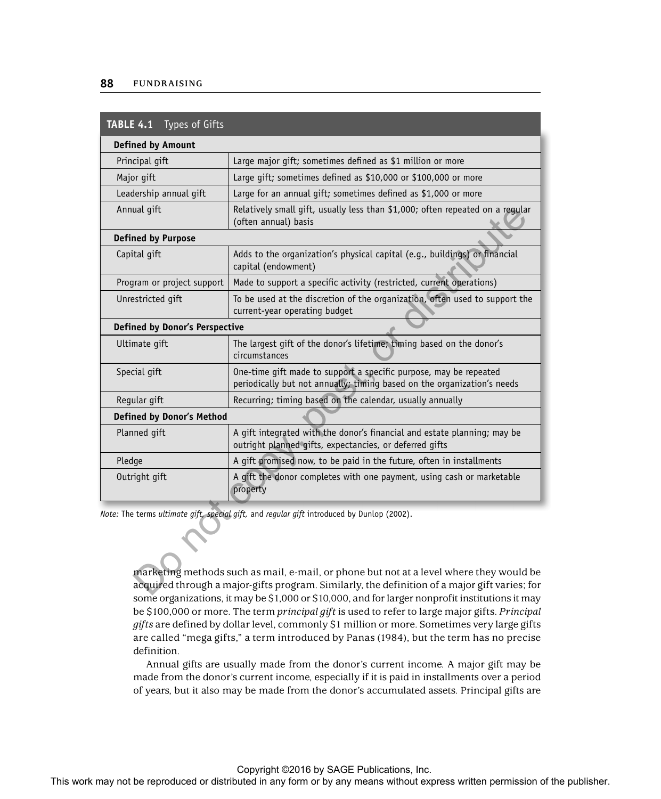| Principal gift                        | Large major gift; sometimes defined as \$1 million or more                                                                                                                                                                                                                                                                                                                                                                                                                                                                                                                                 |
|---------------------------------------|--------------------------------------------------------------------------------------------------------------------------------------------------------------------------------------------------------------------------------------------------------------------------------------------------------------------------------------------------------------------------------------------------------------------------------------------------------------------------------------------------------------------------------------------------------------------------------------------|
| Major gift                            | Large gift; sometimes defined as \$10,000 or \$100,000 or more                                                                                                                                                                                                                                                                                                                                                                                                                                                                                                                             |
| Leadership annual gift                | Large for an annual gift; sometimes defined as \$1,000 or more                                                                                                                                                                                                                                                                                                                                                                                                                                                                                                                             |
| Annual gift                           | Relatively small gift, usually less than \$1,000; often repeated on a regular<br>(often annual) basis                                                                                                                                                                                                                                                                                                                                                                                                                                                                                      |
| <b>Defined by Purpose</b>             |                                                                                                                                                                                                                                                                                                                                                                                                                                                                                                                                                                                            |
| Capital gift                          | Adds to the organization's physical capital (e.g., buildings) or financial<br>capital (endowment)                                                                                                                                                                                                                                                                                                                                                                                                                                                                                          |
| Program or project support            | Made to support a specific activity (restricted, current operations)                                                                                                                                                                                                                                                                                                                                                                                                                                                                                                                       |
| Unrestricted gift                     | To be used at the discretion of the organization, often used to support the<br>current-year operating budget                                                                                                                                                                                                                                                                                                                                                                                                                                                                               |
| <b>Defined by Donor's Perspective</b> |                                                                                                                                                                                                                                                                                                                                                                                                                                                                                                                                                                                            |
| Ultimate gift                         | The largest gift of the donor's lifetime; timing based on the donor's<br>circumstances                                                                                                                                                                                                                                                                                                                                                                                                                                                                                                     |
| Special gift                          | One-time gift made to support a specific purpose, may be repeated<br>periodically but not annually; timing based on the organization's needs                                                                                                                                                                                                                                                                                                                                                                                                                                               |
| Regular gift                          | Recurring; timing based on the calendar, usually annually                                                                                                                                                                                                                                                                                                                                                                                                                                                                                                                                  |
| <b>Defined by Donor's Method</b>      |                                                                                                                                                                                                                                                                                                                                                                                                                                                                                                                                                                                            |
| Planned gift                          | A gift integrated with the donor's financial and estate planning; may be<br>outright planned gifts, expectancies, or deferred gifts                                                                                                                                                                                                                                                                                                                                                                                                                                                        |
| Pledge                                | A gift promised now, to be paid in the future, often in installments                                                                                                                                                                                                                                                                                                                                                                                                                                                                                                                       |
| Outright gift                         | A gift the donor completes with one payment, using cash or marketable<br>property                                                                                                                                                                                                                                                                                                                                                                                                                                                                                                          |
|                                       | Note: The terms ultimate gift, special gift, and regular gift introduced by Dunlop (2002).<br>marketing methods such as mail, e-mail, or phone but not at a level where they would be<br>acquired through a major-gifts program. Similarly, the definition of a major gift varies; for<br>some organizations, it may be \$1,000 or \$10,000, and for larger nonprofit institutions it may<br>be \$100,000 or more. The term principal gift is used to refer to large major gifts. Principal<br>gifts are defined by dollar level, commonly \$1 million or more. Sometimes very large gifts |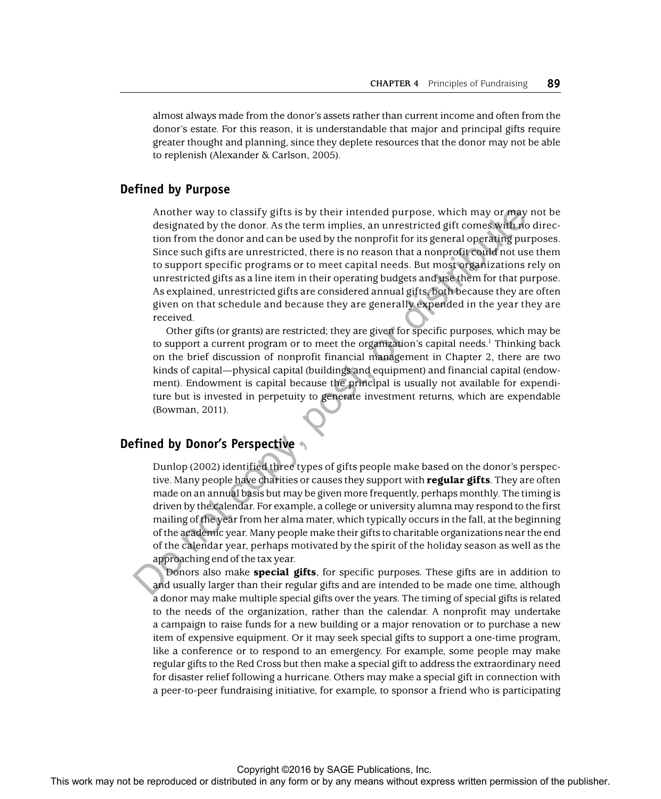almost always made from the donor's assets rather than current income and often from the donor's estate. For this reason, it is understandable that major and principal gifts require greater thought and planning, since they deplete resources that the donor may not be able to replenish (Alexander & Carlson, 2005).

# **Defined by Purpose**

Another way to classify gifts is by their intended purpose, which may or may not be designated by the donor. As the term implies, an unrestricted gift comes with no direction from the donor and can be used by the nonprofit for its general operating purposes. Since such gifts are unrestricted, there is no reason that a nonprofit could not use them to support specific programs or to meet capital needs. But most organizations rely on unrestricted gifts as a line item in their operating budgets and use them for that purpose. As explained, unrestricted gifts are considered annual gifts, both because they are often given on that schedule and because they are generally expended in the year they are received.

Other gifts (or grants) are restricted; they are given for specific purposes, which may be to support a current program or to meet the organization's capital needs.<sup>1</sup> Thinking back on the brief discussion of nonprofit financial management in Chapter 2, there are two kinds of capital—physical capital (buildings and equipment) and financial capital (endowment). Endowment is capital because the principal is usually not available for expenditure but is invested in perpetuity to generate investment returns, which are expendable ( Bowman, 2011).

# **Defined by Donor's Perspective**

Dunlop (2002) identified three types of gifts people make based on the donor's perspective. Many people have charities or causes they support with **regular gifts**. They are often made on an annual basis but may be given more frequently, perhaps monthly. The timing is driven by the calendar. For example, a college or university alumna may respond to the first mailing of the year from her alma mater, which typically occurs in the fall, at the beginning of the academic year. Many people make their gifts to charitable organizations near the end of the calendar year, perhaps motivated by the spirit of the holiday season as well as the approaching end of the tax year.

Donors also make **special gifts**, for specific purposes. These gifts are in addition to and usually larger than their regular gifts and are intended to be made one time, although a donor may make multiple special gifts over the years. The timing of special gifts is related to the needs of the organization, rather than the calendar. A nonprofit may undertake a campaign to raise funds for a new building or a major renovation or to purchase a new item of expensive equipment. Or it may seek special gifts to support a one-time program, like a conference or to respond to an emergency. For example, some people may make regular gifts to the Red Cross but then make a special gift to address the extraordinary need for disaster relief following a hurricane. Others may make a special gift in connection with a peer-to-peer fundraising initiative, for example, to sponsor a friend who is participating Another way to classify gifts is by their intermedic any or any or any or any means when the show and the best publisher and the publisher and the publisher and the publisher and the publisher. Since the publisher and the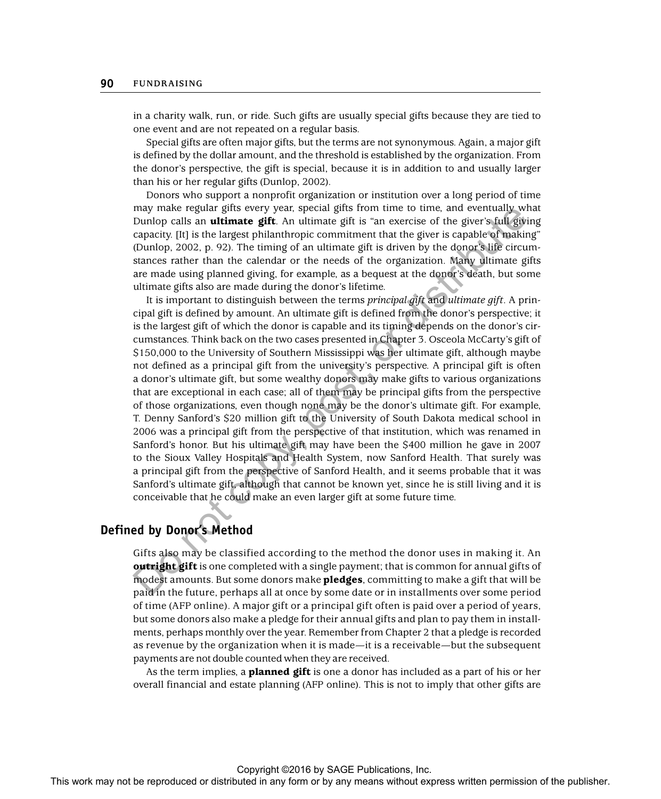in a charity walk, run, or ride. Such gifts are usually special gifts because they are tied to one event and are not repeated on a regular basis.

Special gifts are often major gifts, but the terms are not synonymous. Again, a major gift is defined by the dollar amount, and the threshold is established by the organization. From the donor's perspective, the gift is special, because it is in addition to and usually larger than his or her regular gifts (Dunlop, 2002).

Donors who support a nonprofit organization or institution over a long period of time may make regular gifts every year, special gifts from time to time, and eventually what Dunlop calls an **ultimate gift**. An ultimate gift is "an exercise of the giver's full giving capacity. [It] is the largest philanthropic commitment that the giver is capable of making" (Dunlop, 2002, p. 92). The timing of an ultimate gift is driven by the donor's life circumstances rather than the calendar or the needs of the organization. Many ultimate gifts are made using planned giving, for example, as a bequest at the donor's death, but some ultimate gifts also are made during the donor's lifetime.

It is important to distinguish between the terms *principal gift* and *ultimate gift*. A principal gift is defined by amount. An ultimate gift is defined from the donor's perspective; it is the largest gift of which the donor is capable and its timing depends on the donor's circumstances. Think back on the two cases presented in Chapter 3. Osceola McCarty's gift of \$150,000 to the University of Southern Mississippi was her ultimate gift, although maybe not defined as a principal gift from the university's perspective. A principal gift is often a donor's ultimate gift, but some wealthy donors may make gifts to various organizations that are exceptional in each case; all of them may be principal gifts from the perspective of those organizations, even though none may be the donor's ultimate gift. For example, T. Denny Sanford's \$20 million gift to the University of South Dakota medical school in 2006 was a principal gift from the perspective of that institution, which was renamed in Sanford's honor. But his ultimate gift may have been the \$400 million he gave in 2007 to the Sioux Valley Hospitals and Health System, now Sanford Health. That surely was a principal gift from the perspective of Sanford Health, and it seems probable that it was Sanford's ultimate gift, although that cannot be known yet, since he is still living and it is conceivable that he could make an even larger gift at some future time. This work may not be reproduced or the reproduced or the reproduced or distributed in any form or the publisher. The publisher of the publisher of the publisher of the publisher of the publisher. The publisher of the publ

# **Defined by Donor's Method**

Gifts also may be classified according to the method the donor uses in making it. An **outright gift** is one completed with a single payment; that is common for annual gifts of modest amounts. But some donors make **pledges**, committing to make a gift that will be paid in the future, perhaps all at once by some date or in installments over some period of time (AFP online). A major gift or a principal gift often is paid over a period of years, but some donors also make a pledge for their annual gifts and plan to pay them in installments, perhaps monthly over the year. Remember from Chapter 2 that a pledge is recorded as revenue by the organization when it is made—it is a receivable—but the subsequent payments are not double counted when they are received.

As the term implies, a **planned gift** is one a donor has included as a part of his or her overall financial and estate planning (AFP online). This is not to imply that other gifts are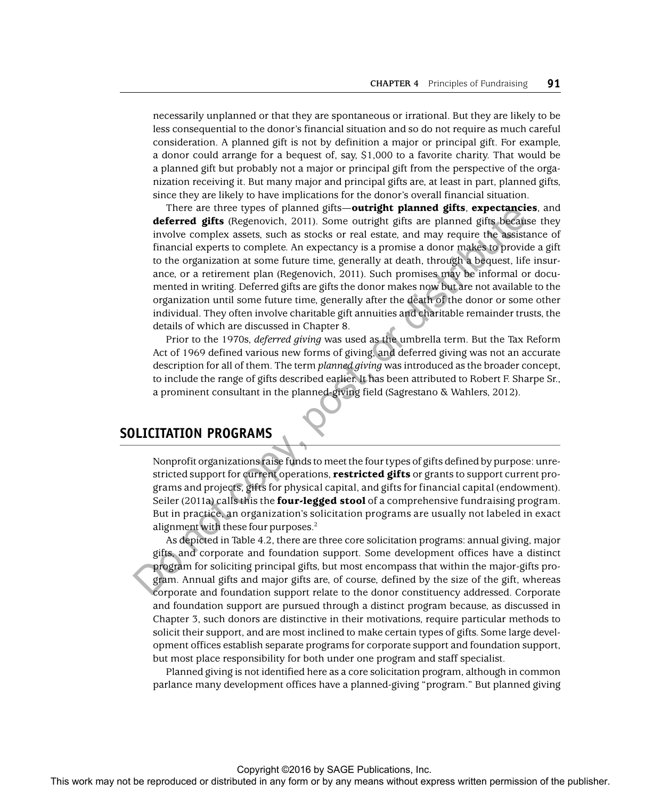necessarily unplanned or that they are spontaneous or irrational. But they are likely to be less consequential to the donor's financial situation and so do not require as much careful consideration. A planned gift is not by definition a major or principal gift. For example, a donor could arrange for a bequest of, say, \$1,000 to a favorite charity. That would be a planned gift but probably not a major or principal gift from the perspective of the organization receiving it. But many major and principal gifts are, at least in part, planned gifts, since they are likely to have implications for the donor's overall financial situation.

There are three types of planned gifts—**outright planned gifts**, **expectancies**, and **deferred gifts** (Regenovich, 2011). Some outright gifts are planned gifts because they involve complex assets, such as stocks or real estate, and may require the assistance of financial experts to complete. An expectancy is a promise a donor makes to provide a gift to the organization at some future time, generally at death, through a bequest, life insurance, or a retirement plan (Regenovich, 2011). Such promises may be informal or documented in writing. Deferred gifts are gifts the donor makes now but are not available to the organization until some future time, generally after the death of the donor or some other individual. They often involve charitable gift annuities and charitable remainder trusts, the details of which are discussed in Chapter 8.

Prior to the 1970s, *deferred giving* was used as the umbrella term. But the Tax Reform Act of 1969 defined various new forms of giving, and deferred giving was not an accurate description for all of them. The term *planned giving* was introduced as the broader concept, to include the range of gifts described earlier. It has been attributed to Robert F. Sharpe Sr., a prominent consultant in the planned-giving field (Sagrestano & Wahlers, 2012).

# **SOLICITATION PROGRAMS**

Nonprofit organizations raise funds to meet the four types of gifts defined by purpose: unrestricted support for current operations, **restricted gifts** or grants to support current programs and projects, gifts for physical capital, and gifts for financial capital (endowment). Seiler (2011a) calls this the **four-legged stool** of a comprehensive fundraising program. But in practice, an organization's solicitation programs are usually not labeled in exact alignment with these four purposes.<sup>2</sup>

As depicted in Table 4.2, there are three core solicitation programs: annual giving, major gifts, and corporate and foundation support. Some development offices have a distinct program for soliciting principal gifts, but most encompass that within the major-gifts program. Annual gifts and major gifts are, of course, defined by the size of the gift, whereas corporate and foundation support relate to the donor constituency addressed. Corporate and foundation support are pursued through a distinct program because, as discussed in Chapter 3, such donors are distinctive in their motivations, require particular methods to solicit their support, and are most inclined to make certain types of gifts. Some large development offices establish separate programs for corporate support and foundation support, but most place responsibility for both under one program and staff specialist. These or the components of the representations and the representation of the publisher or distributed in any form or by any means when the representation of the publisher. This work is a specifically a steady, the publishe

Planned giving is not identified here as a core solicitation program, although in common parlance many development offices have a planned-giving "program." But planned giving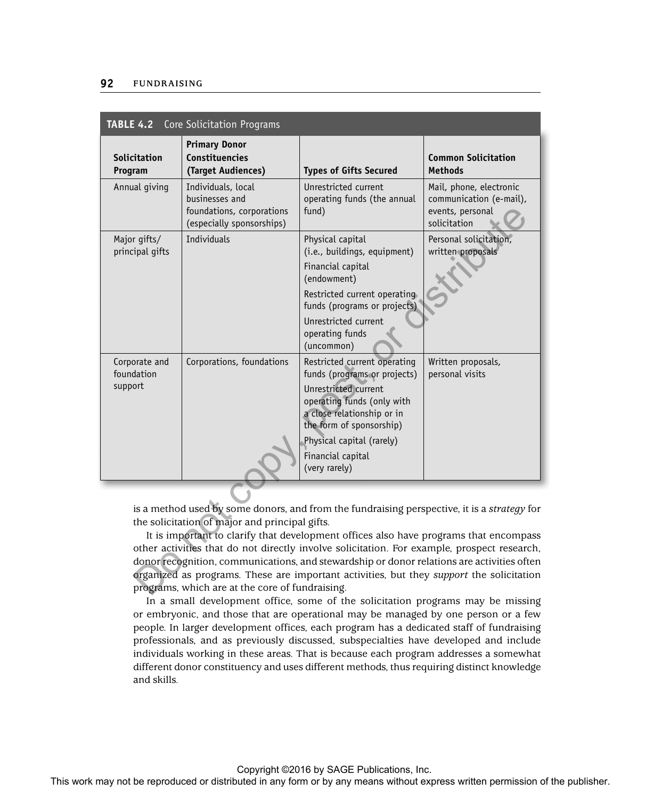| Solicitation<br>Program                | <b>Primary Donor</b><br>Constituencies<br>(Target Audiences)                                      | <b>Types of Gifts Secured</b>                                                                                                                                                                                                                                                                                                                                                                                                                                                                                                                                                                                                                                                                                                                                                                                                                                                                                                                                                                                                      | <b>Common Solicitation</b><br><b>Methods</b>                                           |
|----------------------------------------|---------------------------------------------------------------------------------------------------|------------------------------------------------------------------------------------------------------------------------------------------------------------------------------------------------------------------------------------------------------------------------------------------------------------------------------------------------------------------------------------------------------------------------------------------------------------------------------------------------------------------------------------------------------------------------------------------------------------------------------------------------------------------------------------------------------------------------------------------------------------------------------------------------------------------------------------------------------------------------------------------------------------------------------------------------------------------------------------------------------------------------------------|----------------------------------------------------------------------------------------|
| Annual giving                          | Individuals, local<br>businesses and<br>foundations, corporations<br>(especially sponsorships)    | Unrestricted current<br>operating funds (the annual<br>fund)                                                                                                                                                                                                                                                                                                                                                                                                                                                                                                                                                                                                                                                                                                                                                                                                                                                                                                                                                                       | Mail, phone, electronic<br>communication (e-mail),<br>events, personal<br>solicitation |
| Major gifts/<br>principal gifts        | Individuals                                                                                       | Physical capital<br>(i.e., buildings, equipment)<br>Financial capital<br>(endowment)                                                                                                                                                                                                                                                                                                                                                                                                                                                                                                                                                                                                                                                                                                                                                                                                                                                                                                                                               | Personal solicitation,<br>written proposals                                            |
|                                        |                                                                                                   | Restricted current operating<br>funds (programs or projects)<br>Unrestricted current<br>operating funds<br>(uncommon)                                                                                                                                                                                                                                                                                                                                                                                                                                                                                                                                                                                                                                                                                                                                                                                                                                                                                                              |                                                                                        |
| Corporate and<br>foundation<br>support | Corporations, foundations                                                                         | Restricted current operating<br>funds (programs or projects)<br>Unrestricted current<br>operating funds (only with<br>a close relationship or in<br>the form of sponsorship)<br>Physical capital (rarely)                                                                                                                                                                                                                                                                                                                                                                                                                                                                                                                                                                                                                                                                                                                                                                                                                          | Written proposals,<br>personal visits                                                  |
|                                        |                                                                                                   | Financial capital<br>(very rarely)                                                                                                                                                                                                                                                                                                                                                                                                                                                                                                                                                                                                                                                                                                                                                                                                                                                                                                                                                                                                 |                                                                                        |
| and skills.                            | the solicitation of major and principal gifts.<br>programs, which are at the core of fundraising. | is a method used by some donors, and from the fundraising perspective, it is a strategy for<br>It is important to clarify that development offices also have programs that encompass<br>other activities that do not directly involve solicitation. For example, prospect research,<br>donor recognition, communications, and stewardship or donor relations are activities often<br>organized as programs. These are important activities, but they support the solicitation<br>In a small development office, some of the solicitation programs may be missing<br>or embryonic, and those that are operational may be managed by one person or a few<br>people. In larger development offices, each program has a dedicated staff of fundraising<br>professionals, and as previously discussed, subspecialties have developed and include<br>individuals working in these areas. That is because each program addresses a somewhat<br>different donor constituency and uses different methods, thus requiring distinct knowledge |                                                                                        |
|                                        |                                                                                                   |                                                                                                                                                                                                                                                                                                                                                                                                                                                                                                                                                                                                                                                                                                                                                                                                                                                                                                                                                                                                                                    |                                                                                        |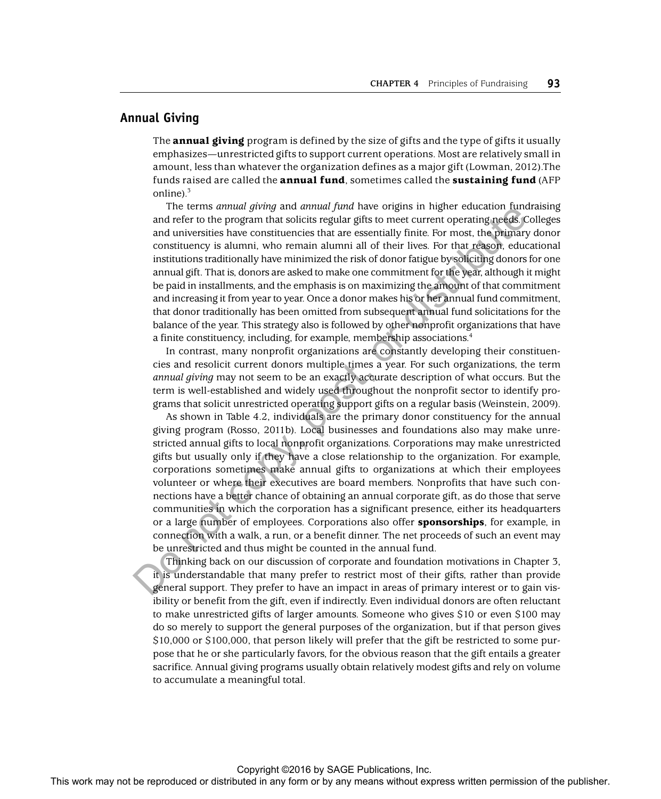# **Annual Giving**

The **annual giving** program is defined by the size of gifts and the type of gifts it usually emphasizes—unrestricted gifts to support current operations. Most are relatively small in amount, less than whatever the organization defines as a major gift (Lowman, 2012).The funds raised are called the **annual fund**, sometimes called the **sustaining fund** (AFP online).<sup>3</sup>

The terms *annual giving* and *annual fund* have origins in higher education fundraising and refer to the program that solicits regular gifts to meet current operating needs. Colleges and universities have constituencies that are essentially finite. For most, the primary donor constituency is alumni, who remain alumni all of their lives. For that reason, educational institutions traditionally have minimized the risk of donor fatigue by soliciting donors for one annual gift. That is, donors are asked to make one commitment for the year, although it might be paid in installments, and the emphasis is on maximizing the amount of that commitment and increasing it from year to year. Once a donor makes his or her annual fund commitment, that donor traditionally has been omitted from subsequent annual fund solicitations for the balance of the year. This strategy also is followed by other nonprofit organizations that have a finite constituency, including, for example, membership associations.4

In contrast, many nonprofit organizations are constantly developing their constituencies and resolicit current donors multiple times a year. For such organizations, the term *annual giving* may not seem to be an exactly accurate description of what occurs. But the term is well-established and widely used throughout the nonprofit sector to identify programs that solicit unrestricted operating support gifts on a regular basis (Weinstein, 2009).

As shown in Table 4.2, individuals are the primary donor constituency for the annual giving program (Rosso, 2011b). Local businesses and foundations also may make unrestricted annual gifts to local nonprofit organizations. Corporations may make unrestricted gifts but usually only if they have a close relationship to the organization. For example, corporations sometimes make annual gifts to organizations at which their employees volunteer or where their executives are board members. Nonprofits that have such connections have a better chance of obtaining an annual corporate gift, as do those that serve communities in which the corporation has a significant presence, either its headquarters or a large number of employees. Corporations also offer **sponsorships**, for example, in connection with a walk, a run, or a benefit dinner. The net proceeds of such an event may be unrestricted and thus might be counted in the annual fund. This work may not be reproduced or distributed in any form or distributed in any form or distributed in any form or any means when the reproduced or distributed in any means when the reproduced in any form or by any means

Thinking back on our discussion of corporate and foundation motivations in Chapter 3, it is understandable that many prefer to restrict most of their gifts, rather than provide general support. They prefer to have an impact in areas of primary interest or to gain visibility or benefit from the gift, even if indirectly. Even individual donors are often reluctant to make unrestricted gifts of larger amounts. Someone who gives \$10 or even \$100 may do so merely to support the general purposes of the organization, but if that person gives \$10,000 or \$100,000, that person likely will prefer that the gift be restricted to some purpose that he or she particularly favors, for the obvious reason that the gift entails a greater sacrifice. Annual giving programs usually obtain relatively modest gifts and rely on volume to accumulate a meaningful total.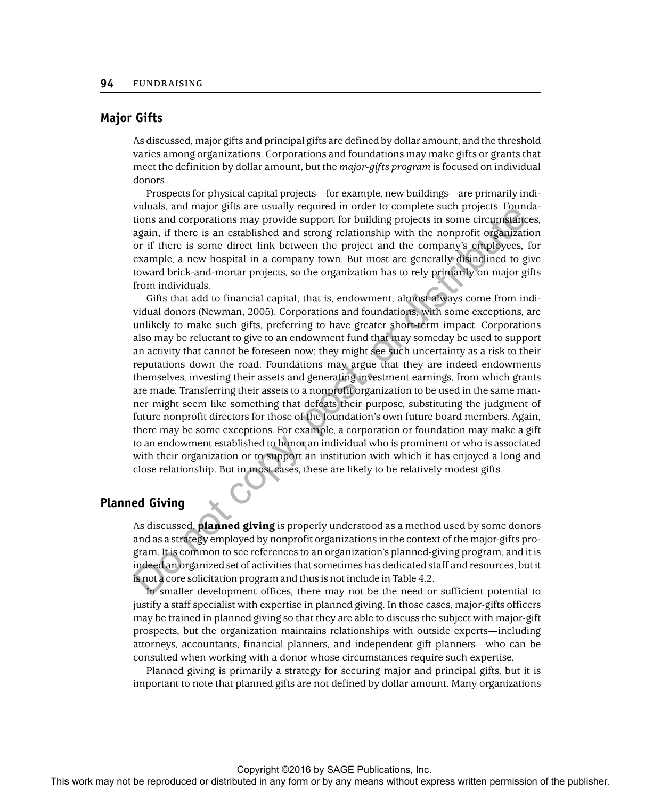# **Major Gifts**

As discussed, major gifts and principal gifts are defined by dollar amount, and the threshold varies among organizations. Corporations and foundations may make gifts or grants that meet the definition by dollar amount, but the *major-gifts program* is focused on individual donors.

Prospects for physical capital projects—for example, new buildings—are primarily individuals, and major gifts are usually required in order to complete such projects. Foundations and corporations may provide support for building projects in some circumstances, again, if there is an established and strong relationship with the nonprofit organization or if there is some direct link between the project and the company's employees, for example, a new hospital in a company town. But most are generally disinclined to give toward brick-and-mortar projects, so the organization has to rely primarily on major gifts from individuals.

Gifts that add to financial capital, that is, endowment, almost always come from individual donors (Newman, 2005). Corporations and foundations, with some exceptions, are unlikely to make such gifts, preferring to have greater short-term impact. Corporations also may be reluctant to give to an endowment fund that may someday be used to support an activity that cannot be foreseen now; they might see such uncertainty as a risk to their reputations down the road. Foundations may argue that they are indeed endowments themselves, investing their assets and generating investment earnings, from which grants are made. Transferring their assets to a nonprofit organization to be used in the same manner might seem like something that defeats their purpose, substituting the judgment of future nonprofit directors for those of the foundation's own future board members. Again, there may be some exceptions. For example, a corporation or foundation may make a gift to an endowment established to honor an individual who is prominent or who is associated with their organization or to support an institution with which it has enjoyed a long and close relationship. But in most cases, these are likely to be relatively modest gifts. This work may not be reproduced or the publishering in any form or distributed in any form or distributed in any form or distributed in any means which are also the publishering in a comparison of the publishering in a co

### **Planned Giving**

As discussed, **planned giving** is properly understood as a method used by some donors and as a strategy employed by nonprofit organizations in the context of the major-gifts program. It is common to see references to an organization's planned-giving program, and it is indeed an organized set of activities that sometimes has dedicated staff and resources, but it is not a core solicitation program and thus is not include in Table 4.2.

In smaller development offices, there may not be the need or sufficient potential to justify a staff specialist with expertise in planned giving. In those cases, major-gifts officers may be trained in planned giving so that they are able to discuss the subject with major-gift prospects, but the organization maintains relationships with outside experts—including attorneys, accountants, financial planners, and independent gift planners—who can be consulted when working with a donor whose circumstances require such expertise.

Planned giving is primarily a strategy for securing major and principal gifts, but it is important to note that planned gifts are not defined by dollar amount. Many organizations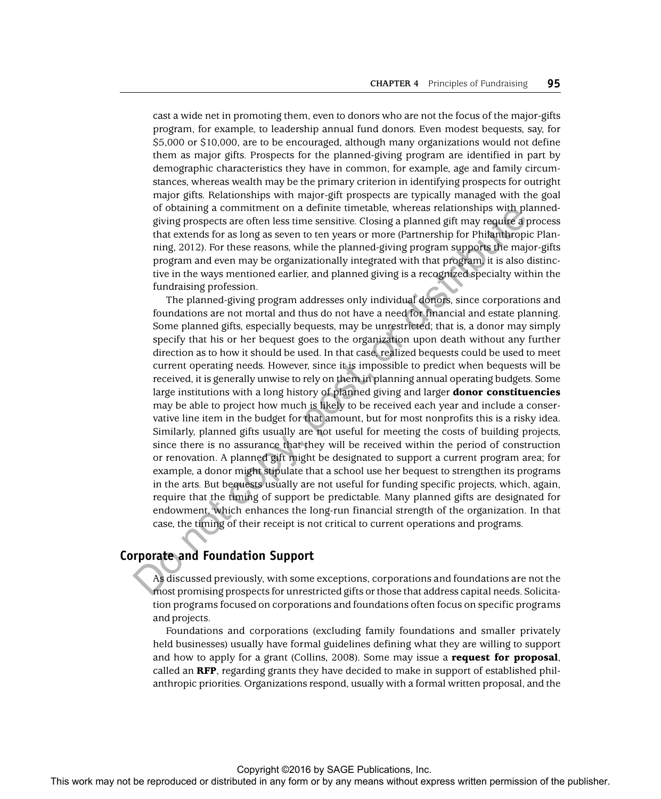cast a wide net in promoting them, even to donors who are not the focus of the major-gifts program, for example, to leadership annual fund donors. Even modest bequests, say, for \$5,000 or \$10,000, are to be encouraged, although many organizations would not define them as major gifts. Prospects for the planned-giving program are identified in part by demographic characteristics they have in common, for example, age and family circumstances, whereas wealth may be the primary criterion in identifying prospects for outright major gifts. Relationships with major-gift prospects are typically managed with the goal of obtaining a commitment on a definite timetable, whereas relationships with plannedgiving prospects are often less time sensitive. Closing a planned gift may require a process that extends for as long as seven to ten years or more (Partnership for Philanthropic Planning, 2012). For these reasons, while the planned-giving program supports the major-gifts program and even may be organizationally integrated with that program, it is also distinctive in the ways mentioned earlier, and planned giving is a recognized specialty within the fundraising profession.

The planned-giving program addresses only individual donors, since corporations and foundations are not mortal and thus do not have a need for financial and estate planning. Some planned gifts, especially bequests, may be unrestricted; that is, a donor may simply specify that his or her bequest goes to the organization upon death without any further direction as to how it should be used. In that case, realized bequests could be used to meet current operating needs. However, since it is impossible to predict when bequests will be received, it is generally unwise to rely on them in planning annual operating budgets. Some large institutions with a long history of planned giving and larger **donor constituencies**  may be able to project how much is likely to be received each year and include a conservative line item in the budget for that amount, but for most nonprofits this is a risky idea. Similarly, planned gifts usually are not useful for meeting the costs of building projects, since there is no assurance that they will be received within the period of construction or renovation. A planned gift might be designated to support a current program area; for example, a donor might stipulate that a school use her bequest to strengthen its programs in the arts. But bequests usually are not useful for funding specific projects, which, again, require that the timing of support be predictable. Many planned gifts are designated for endowment, which enhances the long-run financial strength of the organization. In that case, the timing of their receipt is not critical to current operations and programs. or experiments a contor may have reproduced or the record or the publisher or the reproduced or the reproduced or the publisher or the publisher of the publisher or the publisher. The publisher of the publisher of the pub

# **Corporate and Foundation Support**

As discussed previously, with some exceptions, corporations and foundations are not the most promising prospects for unrestricted gifts or those that address capital needs. Solicitation programs focused on corporations and foundations often focus on specific programs and projects.

Foundations and corporations (excluding family foundations and smaller privately held businesses) usually have formal guidelines defining what they are willing to support and how to apply for a grant (Collins, 2008). Some may issue a **request for proposal**, called an **RFP**, regarding grants they have decided to make in support of established philanthropic priorities. Organizations respond, usually with a formal written proposal, and the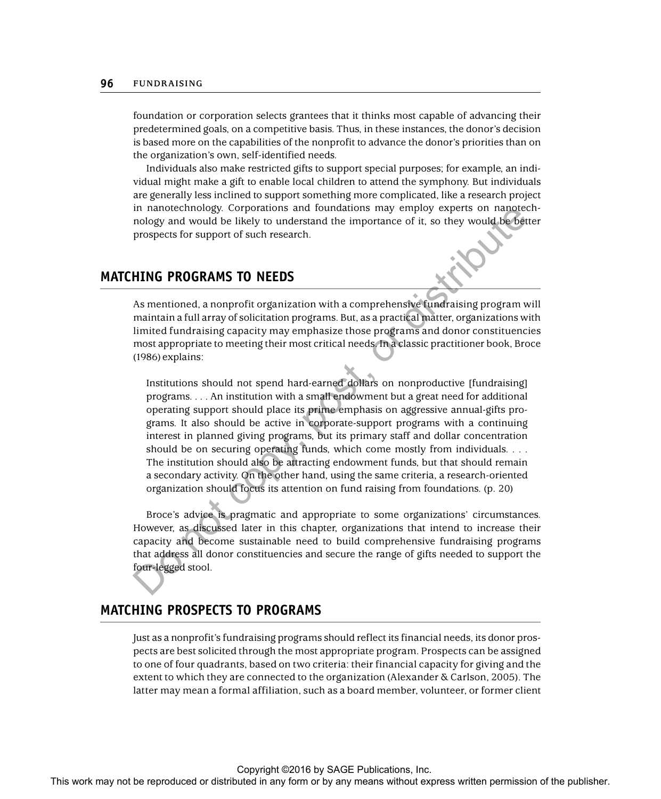foundation or corporation selects grantees that it thinks most capable of advancing their predetermined goals, on a competitive basis. Thus, in these instances, the donor's decision is based more on the capabilities of the nonprofit to advance the donor's priorities than on the organization's own, self-identified needs.

Individuals also make restricted gifts to support special purposes; for example, an individual might make a gift to enable local children to attend the symphony. But individuals are generally less inclined to support something more complicated, like a research project in nanotechnology. Corporations and foundations may employ experts on nanotechnology and would be likely to understand the importance of it, so they would be better prospects for support of such research.

# **MATCHING PROGRAMS TO NEEDS**

As mentioned, a nonprofit organization with a comprehensive fundraising program will maintain a full array of solicitation programs. But, as a practical matter, organizations with limited fundraising capacity may emphasize those programs and donor constituencies most appropriate to meeting their most critical needs. In a classic practitioner book, Broce (1986) explains:

Institutions should not spend hard-earned dollars on nonproductive [fundraising] programs. . . . An institution with a small endowment but a great need for additional operating support should place its prime emphasis on aggressive annual-gifts programs. It also should be active in corporate-support programs with a continuing interest in planned giving programs, but its primary staff and dollar concentration should be on securing operating funds, which come mostly from individuals. . . . The institution should also be attracting endowment funds, but that should remain a secondary activity. On the other hand, using the same criteria, a research-oriented organization should focus its attention on fund raising from foundations. (p. 20) In this concentration of the reproduced or the reproduced in any single permission or any means which the reproduced in any means which the reproduced in any means we reproduced in any means with means that any or book co

Broce's advice is pragmatic and appropriate to some organizations' circumstances. However, as discussed later in this chapter, organizations that intend to increase their capacity and become sustainable need to build comprehensive fundraising programs that address all donor constituencies and secure the range of gifts needed to support the four-legged stool.

# **MATCHING PROSPECTS TO PROGRAMS**

Just as a nonprofit's fundraising programs should reflect its financial needs, its donor prospects are best solicited through the most appropriate program. Prospects can be assigned to one of four quadrants, based on two criteria: their financial capacity for giving and the extent to which they are connected to the organization (Alexander & Carlson, 2005). The latter may mean a formal affiliation, such as a board member, volunteer, or former client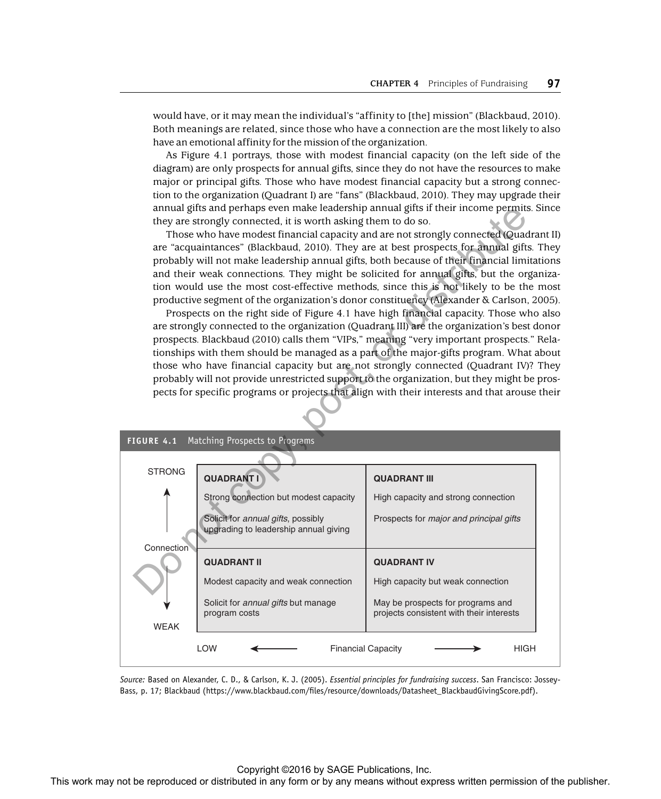would have, or it may mean the individual's "affinity to [the] mission" (Blackbaud, 2010). Both meanings are related, since those who have a connection are the most likely to also have an emotional affinity for the mission of the organization.

As Figure 4.1 portrays, those with modest financial capacity (on the left side of the diagram) are only prospects for annual gifts, since they do not have the resources to make major or principal gifts. Those who have modest financial capacity but a strong connection to the organization (Quadrant I) are "fans" (Blackbaud, 2010). They may upgrade their annual gifts and perhaps even make leadership annual gifts if their income permits. Since they are strongly connected, it is worth asking them to do so.

|                   |                                                                             | productive segment of the organization's donor constituency (Alexander & Carlson, 2005).<br>Prospects on the right side of Figure 4.1 have high financial capacity. Those who also<br>are strongly connected to the organization (Quadrant III) are the organization's best donor<br>prospects. Blackbaud (2010) calls them "VIPs," meaning "very important prospects." Rela-<br>tionships with them should be managed as a part of the major-gifts program. What about<br>those who have financial capacity but are not strongly connected (Quadrant IV)? They<br>probably will not provide unrestricted support to the organization, but they might be pros-<br>pects for specific programs or projects that align with their interests and that arouse their |
|-------------------|-----------------------------------------------------------------------------|-----------------------------------------------------------------------------------------------------------------------------------------------------------------------------------------------------------------------------------------------------------------------------------------------------------------------------------------------------------------------------------------------------------------------------------------------------------------------------------------------------------------------------------------------------------------------------------------------------------------------------------------------------------------------------------------------------------------------------------------------------------------|
|                   | Matching Prospects to Programs                                              |                                                                                                                                                                                                                                                                                                                                                                                                                                                                                                                                                                                                                                                                                                                                                                 |
| <b>FIGURE 4.1</b> |                                                                             |                                                                                                                                                                                                                                                                                                                                                                                                                                                                                                                                                                                                                                                                                                                                                                 |
| <b>STRONG</b>     | <b>QUADRANT I</b>                                                           | <b>QUADRANT III</b>                                                                                                                                                                                                                                                                                                                                                                                                                                                                                                                                                                                                                                                                                                                                             |
|                   | Strong connection but modest capacity                                       | High capacity and strong connection                                                                                                                                                                                                                                                                                                                                                                                                                                                                                                                                                                                                                                                                                                                             |
|                   | Solicit for annual gifts, possibly<br>upgrading to leadership annual giving | Prospects for major and principal gifts                                                                                                                                                                                                                                                                                                                                                                                                                                                                                                                                                                                                                                                                                                                         |
| Connection        | <b>QUADRANT II</b>                                                          | <b>QUADRANT IV</b>                                                                                                                                                                                                                                                                                                                                                                                                                                                                                                                                                                                                                                                                                                                                              |
|                   | Modest capacity and weak connection                                         | High capacity but weak connection                                                                                                                                                                                                                                                                                                                                                                                                                                                                                                                                                                                                                                                                                                                               |
|                   | Solicit for annual gifts but manage<br>program costs                        | May be prospects for programs and<br>projects consistent with their interests                                                                                                                                                                                                                                                                                                                                                                                                                                                                                                                                                                                                                                                                                   |
| <b>WEAK</b>       | <b>LOW</b>                                                                  | <b>Financial Capacity</b><br><b>HIGH</b>                                                                                                                                                                                                                                                                                                                                                                                                                                                                                                                                                                                                                                                                                                                        |
|                   |                                                                             | Source: Based on Alexander, C. D., & Carlson, K. J. (2005). Essential principles for fundraising success. San Francisco: Jossey-<br>Bass, p. 17; Blackbaud (https://www.blackbaud.com/files/resource/downloads/Datasheet_BlackbaudGivingScore.pdf).                                                                                                                                                                                                                                                                                                                                                                                                                                                                                                             |

#### Copyright ©2016 by SAGE Publications, Inc.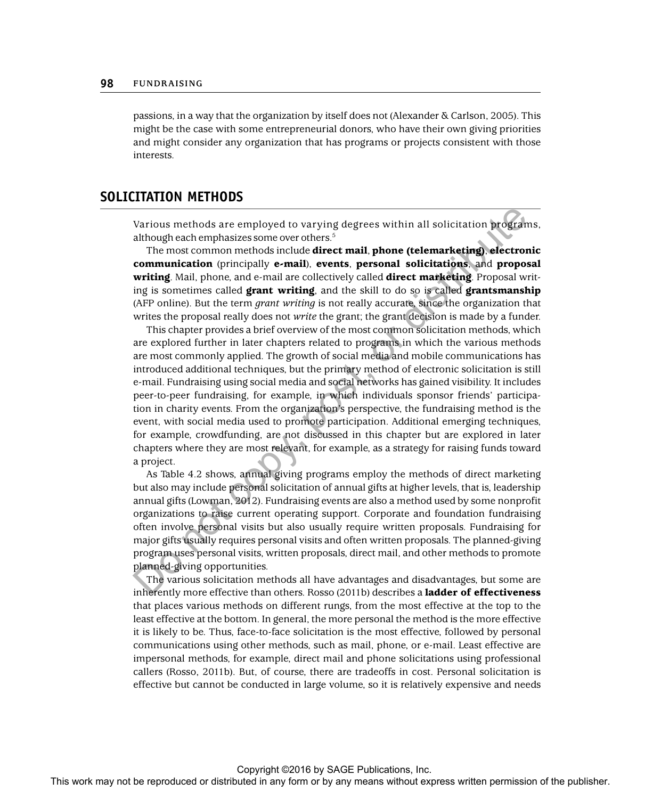passions, in a way that the organization by itself does not (Alexander & Carlson, 2005). This might be the case with some entrepreneurial donors, who have their own giving priorities and might consider any organization that has programs or projects consistent with those interests.

# **SOLICITATION METHODS**

Various methods are employed to varying degrees within all solicitation programs, although each emphasizes some over others.<sup>5</sup>

The most common methods include **direct mail**, **phone (telemarketing)**, **electronic communication** (principally **e-mail**), **events**, **personal solicitations**, and **proposal writing**. Mail, phone, and e-mail are collectively called **direct marketing**. Proposal writing is sometimes called **grant writing**, and the skill to do so is called **grantsmanship** (AFP online). But the term *grant writing* is not really accurate, since the organization that writes the proposal really does not *write* the grant; the grant decision is made by a funder.

This chapter provides a brief overview of the most common solicitation methods, which are explored further in later chapters related to programs in which the various methods are most commonly applied. The growth of social media and mobile communications has introduced additional techniques, but the primary method of electronic solicitation is still e-mail. Fundraising using social media and social networks has gained visibility. It includes peer-to-peer fundraising, for example, in which individuals sponsor friends' participation in charity events. From the organization's perspective, the fundraising method is the event, with social media used to promote participation. Additional emerging techniques, for example, crowdfunding, are not discussed in this chapter but are explored in later chapters where they are most relevant, for example, as a strategy for raising funds toward a project. Various methods are employed to varying degrees within all solicitation programs.<br>
allowing or the reproduced or incollegative express with **phone (selectively)** distributed in a stributed in a method in a method in a met

As Table 4.2 shows, annual giving programs employ the methods of direct marketing but also may include personal solicitation of annual gifts at higher levels, that is, leadership annual gifts (Lowman, 2012). Fundraising events are also a method used by some nonprofit organizations to raise current operating support. Corporate and foundation fundraising often involve personal visits but also usually require written proposals. Fundraising for major gifts usually requires personal visits and often written proposals. The planned-giving program uses personal visits, written proposals, direct mail, and other methods to promote planned-giving opportunities.

The various solicitation methods all have advantages and disadvantages, but some are inherently more effective than others. Rosso (2011b) describes a **ladder of effectiveness** that places various methods on different rungs, from the most effective at the top to the least effective at the bottom. In general, the more personal the method is the more effective it is likely to be. Thus, face-to-face solicitation is the most effective, followed by personal communications using other methods, such as mail, phone, or e-mail. Least effective are impersonal methods, for example, direct mail and phone solicitations using professional callers (Rosso, 2011b). But, of course, there are tradeoffs in cost. Personal solicitation is effective but cannot be conducted in large volume, so it is relatively expensive and needs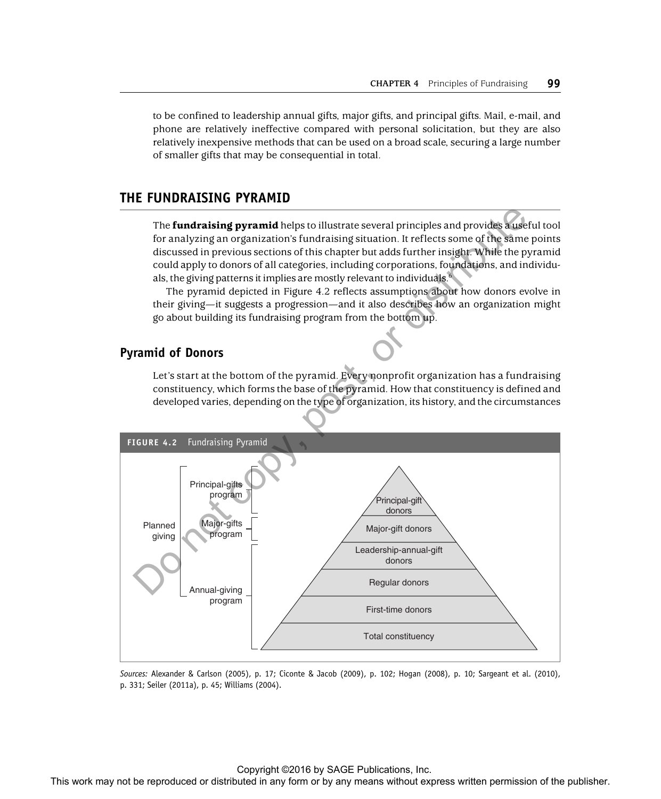to be confined to leadership annual gifts, major gifts, and principal gifts. Mail, e-mail, and phone are relatively ineffective compared with personal solicitation, but they are also relatively inexpensive methods that can be used on a broad scale, securing a large number of smaller gifts that may be consequential in total.

# **THE FUNDRAISING PYRAMID**

The **fundraising pyramid** helps to illustrate several principles and provides a useful tool for analyzing an organization's fundraising situation. It reflects some of the same points discussed in previous sections of this chapter but adds further insight. While the pyramid could apply to donors of all categories, including corporations, foundations, and individuals, the giving patterns it implies are mostly relevant to individuals.<sup>6</sup>

The pyramid depicted in Figure 4.2 reflects assumptions about how donors evolve in their giving—it suggests a progression—and it also describes how an organization might go about building its fundraising program from the bottom up.

# **Pyramid of Donors**

Let's start at the bottom of the pyramid. Every nonprofit organization has a fundraising constituency, which forms the base of the pyramid. How that constituency is defined and developed varies, depending on the type of organization, its history, and the circumstances



*Sources:* Alexander & Carlson (2005), p. 17; Ciconte & Jacob (2009), p. 102; Hogan (2008), p. 10; Sargeant et al. (2010), p. 331; Seiler (2011a), p. 45; Williams (2004).

#### Copyright ©2016 by SAGE Publications, Inc.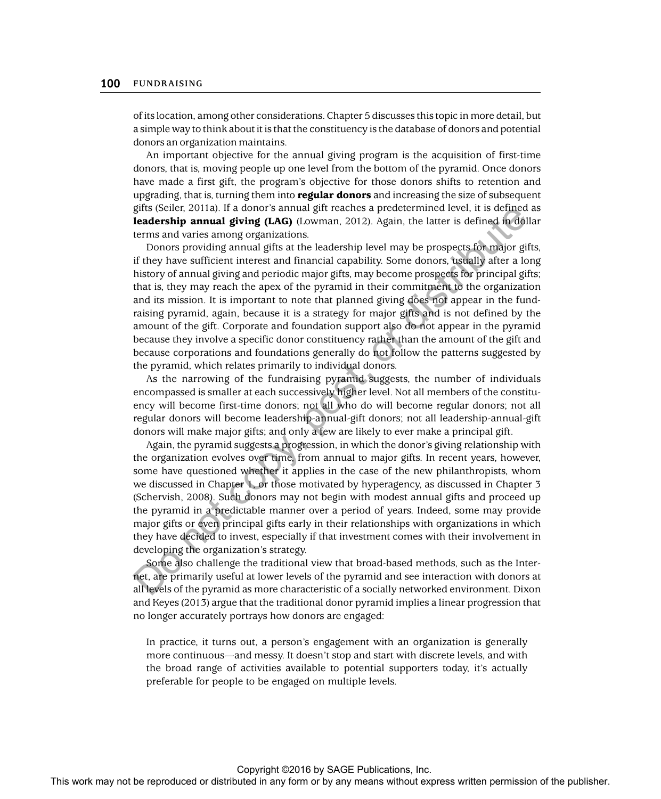of its location, among other considerations. Chapter 5 discusses this topic in more detail, but a simple way to think about it is that the constituency is the database of donors and potential donors an organization maintains.

An important objective for the annual giving program is the acquisition of first-time donors, that is, moving people up one level from the bottom of the pyramid. Once donors have made a first gift, the program's objective for those donors shifts to retention and upgrading, that is, turning them into **regular donors** and increasing the size of subsequent gifts (Seiler, 2011a). If a donor's annual gift reaches a predetermined level, it is defined as **leadership annual giving (LAG)** (Lowman, 2012). Again, the latter is defined in dollar terms and varies among organizations.

Donors providing annual gifts at the leadership level may be prospects for major gifts, if they have sufficient interest and financial capability. Some donors, usually after a long history of annual giving and periodic major gifts, may become prospects for principal gifts; that is, they may reach the apex of the pyramid in their commitment to the organization and its mission. It is important to note that planned giving does not appear in the fundraising pyramid, again, because it is a strategy for major gifts and is not defined by the amount of the gift. Corporate and foundation support also do not appear in the pyramid because they involve a specific donor constituency rather than the amount of the gift and because corporations and foundations generally do not follow the patterns suggested by the pyramid, which relates primarily to individual donors. State Section and the repression of state and the representation and the repression or the reproduced or the repression of the repression of the repression of the publisher with the publisher. If they have means with the p

As the narrowing of the fundraising pyramid suggests, the number of individuals encompassed is smaller at each successively higher level. Not all members of the constituency will become first-time donors; not all who do will become regular donors; not all regular donors will become leadership-annual-gift donors; not all leadership-annual-gift donors will make major gifts; and only a few are likely to ever make a principal gift.

Again, the pyramid suggests a progression, in which the donor's giving relationship with the organization evolves over time, from annual to major gifts. In recent years, however, some have questioned whether it applies in the case of the new philanthropists, whom we discussed in Chapter 1, or those motivated by hyperagency, as discussed in Chapter 3 (Schervish, 2008). Such donors may not begin with modest annual gifts and proceed up the pyramid in a predictable manner over a period of years. Indeed, some may provide major gifts or even principal gifts early in their relationships with organizations in which they have decided to invest, especially if that investment comes with their involvement in developing the organization's strategy.

Some also challenge the traditional view that broad-based methods, such as the Internet, are primarily useful at lower levels of the pyramid and see interaction with donors at all levels of the pyramid as more characteristic of a socially networked environment. Dixon and Keyes (2013) argue that the traditional donor pyramid implies a linear progression that no longer accurately portrays how donors are engaged:

In practice, it turns out, a person's engagement with an organization is generally more continuous—and messy. It doesn't stop and start with discrete levels, and with the broad range of activities available to potential supporters today, it's actually preferable for people to be engaged on multiple levels.

Copyright ©2016 by SAGE Publications, Inc.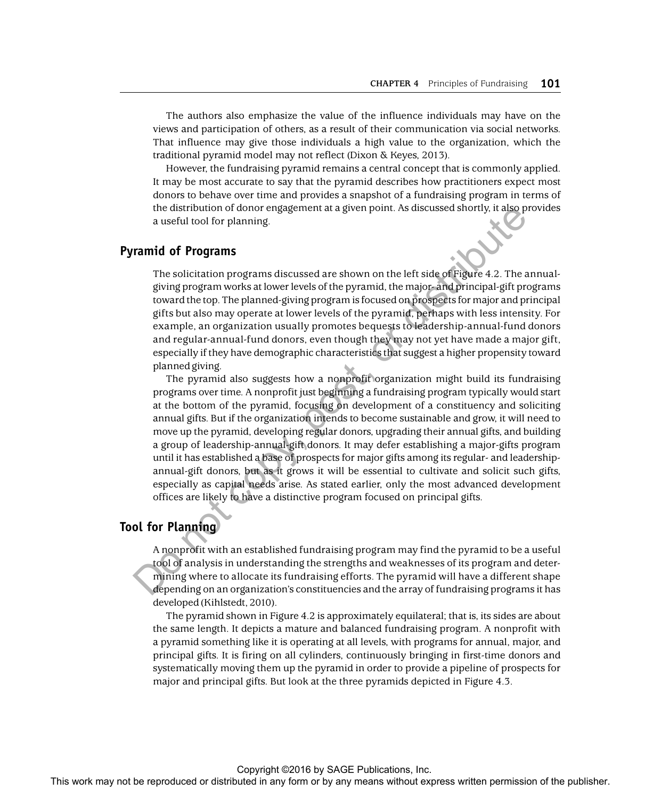The authors also emphasize the value of the influence individuals may have on the views and participation of others, as a result of their communication via social networks. That influence may give those individuals a high value to the organization, which the traditional pyramid model may not reflect (Dixon & Keyes, 2013).

However, the fundraising pyramid remains a central concept that is commonly applied. It may be most accurate to say that the pyramid describes how practitioners expect most donors to behave over time and provides a snapshot of a fundraising program in terms of the distribution of donor engagement at a given point. As discussed shortly, it also provides a useful tool for planning.

# **Pyramid of Programs**

The solicitation programs discussed are shown on the left side of Figure 4.2. The annualgiving program works at lower levels of the pyramid, the major- and principal-gift programs toward the top. The planned-giving program is focused on prospects for major and principal gifts but also may operate at lower levels of the pyramid, perhaps with less intensity. For example, an organization usually promotes bequests to leadership-annual-fund donors and regular-annual-fund donors, even though they may not yet have made a major gift, especially if they have demographic characteristics that suggest a higher propensity toward planned giving.

The pyramid also suggests how a nonprofit organization might build its fundraising programs over time. A nonprofit just beginning a fundraising program typically would start at the bottom of the pyramid, focusing on development of a constituency and soliciting annual gifts. But if the organization intends to become sustainable and grow, it will need to move up the pyramid, developing regular donors, upgrading their annual gifts, and building a group of leadership-annual-gift donors. It may defer establishing a major-gifts program until it has established a base of prospects for major gifts among its regular- and leadershipannual-gift donors, but as it grows it will be essential to cultivate and solicit such gifts, especially as capital needs arise. As stated earlier, only the most advanced development offices are likely to have a distinctive program focused on principal gifts. The actual or distributed in any measurement of the reproduced in any form or by any means which are the solution of the publisher of the publisher of the publisher of the publisher of the publisher of the publisher. The p

# **Tool for Planning**

A nonprofit with an established fundraising program may find the pyramid to be a useful tool of analysis in understanding the strengths and weaknesses of its program and determining where to allocate its fundraising efforts. The pyramid will have a different shape depending on an organization's constituencies and the array of fundraising programs it has developed (Kihlstedt, 2010).

The pyramid shown in Figure 4.2 is approximately equilateral; that is, its sides are about the same length. It depicts a mature and balanced fundraising program. A nonprofit with a pyramid something like it is operating at all levels, with programs for annual, major, and principal gifts. It is firing on all cylinders, continuously bringing in first-time donors and systematically moving them up the pyramid in order to provide a pipeline of prospects for major and principal gifts. But look at the three pyramids depicted in Figure 4.3.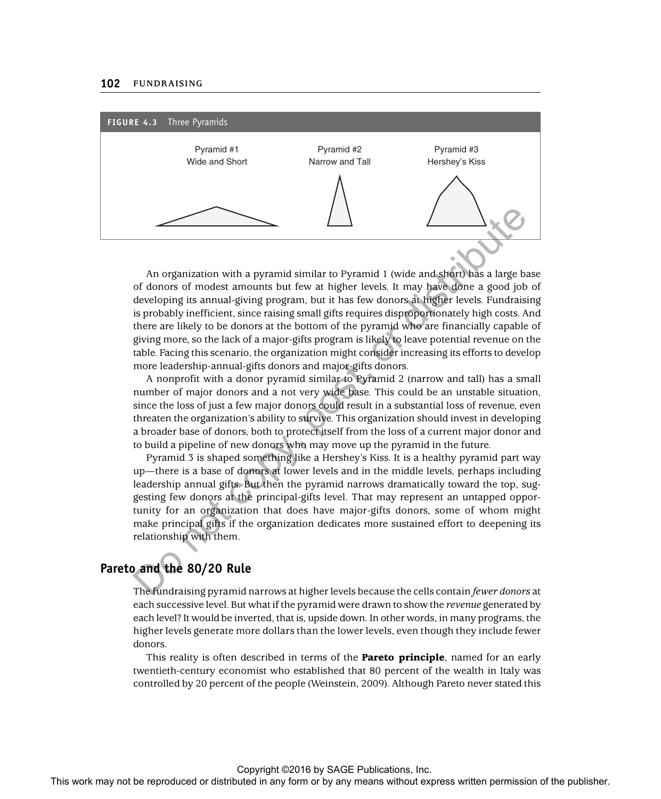#### **102 FUNDRAISING**



An organization with a pyramid similar to Pyramid 1 (wide and short) has a large base of donors of modest amounts but few at higher levels. It may have done a good job of developing its annual-giving program, but it has few donors at higher levels. Fundraising is probably inefficient, since raising small gifts requires disproportionately high costs. And there are likely to be donors at the bottom of the pyramid who are financially capable of giving more, so the lack of a major-gifts program is likely to leave potential revenue on the table. Facing this scenario, the organization might consider increasing its efforts to develop more leadership-annual-gifts donors and major-gifts donors. An organization with a pyramid similar to "pyrmid 1 (wide and given a single base of domes of models in any field of the reduced in any field of the reduced in a single permission of the reduced in a large the reduced in

A nonprofit with a donor pyramid similar to Pyramid 2 (narrow and tall) has a small number of major donors and a not very wide base. This could be an unstable situation, since the loss of just a few major donors could result in a substantial loss of revenue, even threaten the organization's ability to survive. This organization should invest in developing a broader base of donors, both to protect itself from the loss of a current major donor and to build a pipeline of new donors who may move up the pyramid in the future.

Pyramid 3 is shaped something like a Hershey's Kiss. It is a healthy pyramid part way up—there is a base of donors at lower levels and in the middle levels, perhaps including leadership annual gifts. But then the pyramid narrows dramatically toward the top, suggesting few donors at the principal-gifts level. That may represent an untapped opportunity for an organization that does have major-gifts donors, some of whom might make principal gifts if the organization dedicates more sustained effort to deepening its relationship with them.

# **Pareto and the 80/20 Rule**

The fundraising pyramid narrows at higher levels because the cells contain *fewer donors* at each successive level. But what if the pyramid were drawn to show the *revenue* generated by each level? It would be inverted, that is, upside down. In other words, in many programs, the higher levels generate more dollars than the lower levels, even though they include fewer donors.

This reality is often described in terms of the **Pareto principle**, named for an early twentieth-century economist who established that 80 percent of the wealth in Italy was controlled by 20 percent of the people (Weinstein, 2009). Although Pareto never stated this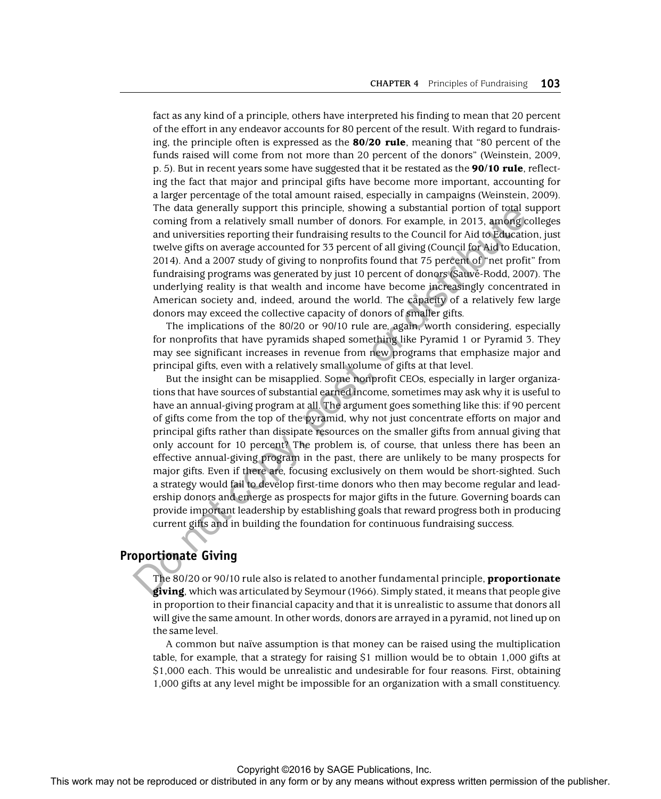fact as any kind of a principle, others have interpreted his finding to mean that 20 percent of the effort in any endeavor accounts for 80 percent of the result. With regard to fundraising, the principle often is expressed as the **80/20 rule**, meaning that "80 percent of the funds raised will come from not more than 20 percent of the donors" (Weinstein, 2009, p. 5). But in recent years some have suggested that it be restated as the **90/10 rule**, reflecting the fact that major and principal gifts have become more important, accounting for a larger percentage of the total amount raised, especially in campaigns (Weinstein, 2009). The data generally support this principle, showing a substantial portion of total support coming from a relatively small number of donors. For example, in 2013, among colleges and universities reporting their fundraising results to the Council for Aid to Education, just twelve gifts on average accounted for 33 percent of all giving (Council for Aid to Education, 2014). And a 2007 study of giving to nonprofits found that 75 percent of "net profit" from fundraising programs was generated by just 10 percent of donors (Sauvé-Rodd, 2007). The underlying reality is that wealth and income have become increasingly concentrated in American society and, indeed, around the world. The capacity of a relatively few large donors may exceed the collective capacity of donors of smaller gifts.

The implications of the 80/20 or 90/10 rule are, again, worth considering, especially for nonprofits that have pyramids shaped something like Pyramid 1 or Pyramid 3. They may see significant increases in revenue from new programs that emphasize major and principal gifts, even with a relatively small volume of gifts at that level.

But the insight can be misapplied. Some nonprofit CEOs, especially in larger organizations that have sources of substantial earned income, sometimes may ask why it is useful to have an annual-giving program at all. The argument goes something like this: if 90 percent of gifts come from the top of the pyramid, why not just concentrate efforts on major and principal gifts rather than dissipate resources on the smaller gifts from annual giving that only account for 10 percent? The problem is, of course, that unless there has been an effective annual-giving program in the past, there are unlikely to be many prospects for major gifts. Even if there are, focusing exclusively on them would be short-sighted. Such a strategy would fail to develop first-time donors who then may become regular and leadership donors and emerge as prospects for major gifts in the future. Governing boards can provide important leadership by establishing goals that reward progress both in producing current gifts and in building the foundation for continuous fundraising success. The may note any means were permission and the publisher and the publisher or distributed in any form or distributed in any form or by any means when the publisher or the publisher. The publisher of the publisher or the pu

# **Proportionate Giving**

The 80/20 or 90/10 rule also is related to another fundamental principle, **proportionate giving**, which was articulated by Seymour (1966). Simply stated, it means that people give in proportion to their financial capacity and that it is unrealistic to assume that donors all will give the same amount. In other words, donors are arrayed in a pyramid, not lined up on the same level.

A common but naïve assumption is that money can be raised using the multiplication table, for example, that a strategy for raising \$1 million would be to obtain 1,000 gifts at \$1,000 each. This would be unrealistic and undesirable for four reasons. First, obtaining 1,000 gifts at any level might be impossible for an organization with a small constituency.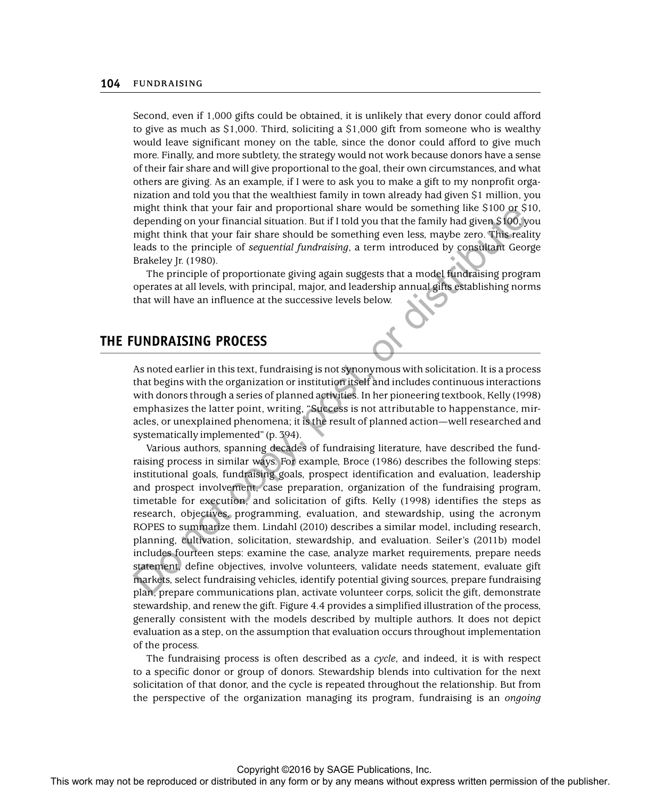Second, even if 1,000 gifts could be obtained, it is unlikely that every donor could afford to give as much as \$1,000. Third, soliciting a \$1,000 gift from someone who is wealthy would leave significant money on the table, since the donor could afford to give much more. Finally, and more subtlety, the strategy would not work because donors have a sense of their fair share and will give proportional to the goal, their own circumstances, and what others are giving. As an example, if I were to ask you to make a gift to my nonprofit organization and told you that the wealthiest family in town already had given \$1 million, you might think that your fair and proportional share would be something like \$100 or \$10, depending on your financial situation. But if I told you that the family had given \$100, you might think that your fair share should be something even less, maybe zero. This reality leads to the principle of *sequential fundraising*, a term introduced by consultant George Brakeley Jr. (1980).

The principle of proportionate giving again suggests that a model fundraising program operates at all levels, with principal, major, and leadership annual gifts establishing norms that will have an influence at the successive levels below.

# **THE FUNDRAISING PROCESS**

As noted earlier in this text, fundraising is not synonymous with solicitation. It is a process that begins with the organization or institution itself and includes continuous interactions with donors through a series of planned activities. In her pioneering textbook, Kelly (1998) emphasizes the latter point, writing, "Success is not attributable to happenstance, miracles, or unexplained phenomena; it is the result of planned action—well researched and systematically implemented" (p. 394).

Various authors, spanning decades of fundraising literature, have described the fundraising process in similar ways. For example, Broce (1986) describes the following steps: institutional goals, fundraising goals, prospect identification and evaluation, leadership and prospect involvement, case preparation, organization of the fundraising program, timetable for execution, and solicitation of gifts. Kelly (1998) identifies the steps as research, objectives, programming, evaluation, and stewardship, using the acronym ROPES to summarize them. Lindahl (2010) describes a similar model, including research, planning, cultivation, solicitation, stewardship, and evaluation. Seiler's (2011b) model includes fourteen steps: examine the case, analyze market requirements, prepare needs statement, define objectives, involve volunteers, validate needs statement, evaluate gift markets, select fundraising vehicles, identify potential giving sources, prepare fundraising plan, prepare communications plan, activate volunteer corps, solicit the gift, demonstrate stewardship, and renew the gift. Figure 4.4 provides a simplified illustration of the process, generally consistent with the models described by multiple authors. It does not depict evaluation as a step, on the assumption that evaluation occurs throughout implementation of the process. may not be reproduced or distributed simulated in any form or by any means when the reproduced or the reproduced or the publisher. The reproduced or the publisher of the publisher of the publishers of the publisher of the

The fundraising process is often described as a *cycle*, and indeed, it is with respect to a specific donor or group of donors. Stewardship blends into cultivation for the next solicitation of that donor, and the cycle is repeated throughout the relationship. But from the perspective of the organization managing its program, fundraising is an *ongoing*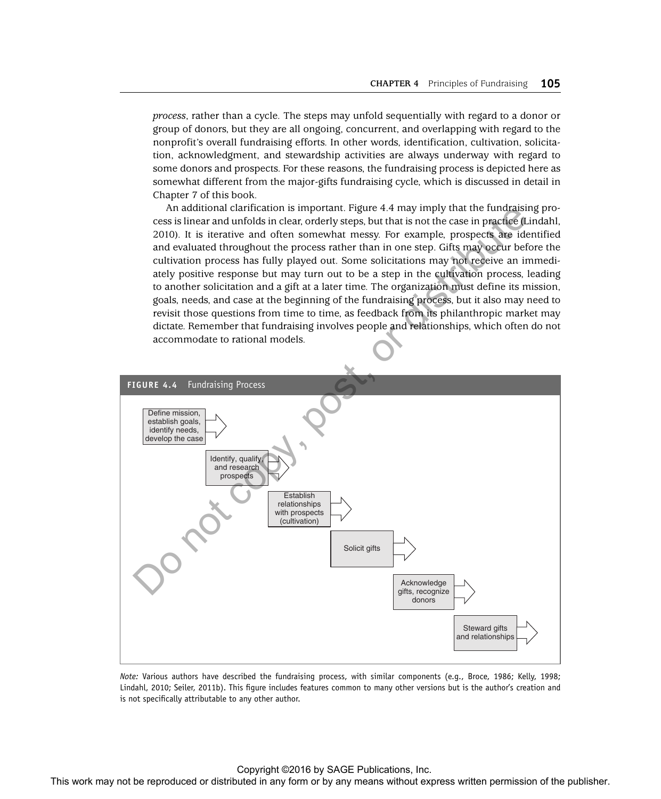*process*, rather than a cycle*.* The steps may unfold sequentially with regard to a donor or group of donors, but they are all ongoing, concurrent, and overlapping with regard to the nonprofit's overall fundraising efforts. In other words, identification, cultivation, solicitation, acknowledgment, and stewardship activities are always underway with regard to some donors and prospects. For these reasons, the fundraising process is depicted here as somewhat different from the major-gifts fundraising cycle, which is discussed in detail in Chapter 7 of this book.

An additional clarification is important. Figure 4.4 may imply that the fundraising process is linear and unfolds in clear, orderly steps, but that is not the case in practice (Lindahl, 2010). It is iterative and often somewhat messy. For example, prospects are identified and evaluated throughout the process rather than in one step. Gifts may occur before the cultivation process has fully played out. Some solicitations may not receive an immediately positive response but may turn out to be a step in the cultivation process, leading to another solicitation and a gift at a later time. The organization must define its mission, goals, needs, and case at the beginning of the fundraising process, but it also may need to revisit those questions from time to time, as feedback from its philanthropic market may dictate. Remember that fundraising involves people and relationships, which often do not accommodate to rational models.



*Note:* Various authors have described the fundraising process, with similar components (e.g., Broce, 1986; Kelly, 1998; Lindahl, 2010; Seiler, 2011b). This fiqure includes features common to many other versions but is the author's creation and is not specifically attributable to any other author.

# Copyright ©2016 by SAGE Publications, Inc.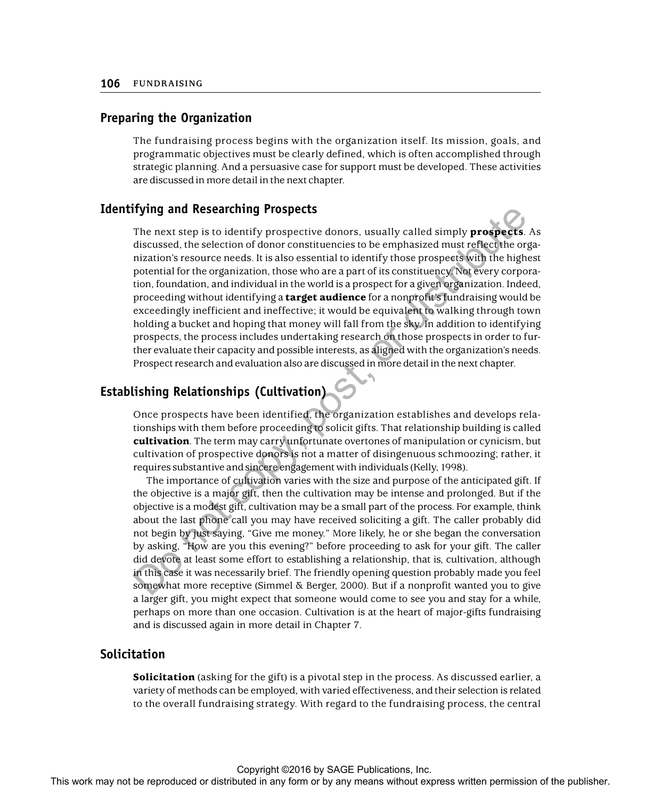# **Preparing the Organization**

The fundraising process begins with the organization itself. Its mission, goals, and programmatic objectives must be clearly defined, which is often accomplished through strategic planning. And a persuasive case for support must be developed. These activities are discussed in more detail in the next chapter.

# **Identifying and Researching Prospects**

The next step is to identify prospective donors, usually called simply **prospects***.* As discussed, the selection of donor constituencies to be emphasized must reflect the organization's resource needs. It is also essential to identify those prospects with the highest potential for the organization, those who are a part of its constituency. Not every corporation, foundation, and individual in the world is a prospect for a given organization. Indeed, proceeding without identifying a **target audience** for a nonprofit's fundraising would be exceedingly inefficient and ineffective; it would be equivalent to walking through town holding a bucket and hoping that money will fall from the sky. In addition to identifying prospects, the process includes undertaking research on those prospects in order to further evaluate their capacity and possible interests, as aligned with the organization's needs. Prospect research and evaluation also are discussed in more detail in the next chapter.

# **Establishing Relationships (Cultivation)**

Once prospects have been identified, the organization establishes and develops relationships with them before proceeding to solicit gifts. That relationship building is called **cultivation**. The term may carry unfortunate overtones of manipulation or cynicism, but cultivation of prospective donors is not a matter of disingenuous schmoozing; rather, it requires substantive and sincere engagement with individuals (Kelly, 1998).

The importance of cultivation varies with the size and purpose of the anticipated gift. If the objective is a major gift, then the cultivation may be intense and prolonged. But if the objective is a modest gift, cultivation may be a small part of the process. For example, think about the last phone call you may have received soliciting a gift. The caller probably did not begin by just saying, "Give me money." More likely, he or she began the conversation by asking, "How are you this evening?" before proceeding to ask for your gift. The caller did devote at least some effort to establishing a relationship, that is, cultivation, although in this case it was necessarily brief. The friendly opening question probably made you feel somewhat more receptive (Simmel & Berger, 2000). But if a nonprofit wanted you to give a larger gift, you might expect that someone would come to see you and stay for a while, perhaps on more than one occasion. Cultivation is at the heart of major-gifts fundraising and is discussed again in more detail in Chapter 7. **IGNINTERY ASSOCIENT CONSECT CONSECT CONSECT AS A CONSECT CONSECT AND CONSECT CONSECT AND CONSECT AND CONSECT ANY MEASURE CONSECT ANY MEASURE CONSECT ANY MEASURE CONSECT AND THE INTERFERENCE OR DISTRIBUTED (** $\phi$ **) and**  $\phi$ 

# **Solicitation**

**Solicitation** (asking for the gift) is a pivotal step in the process. As discussed earlier, a variety of methods can be employed, with varied effectiveness, and their selection is related to the overall fundraising strategy. With regard to the fundraising process, the central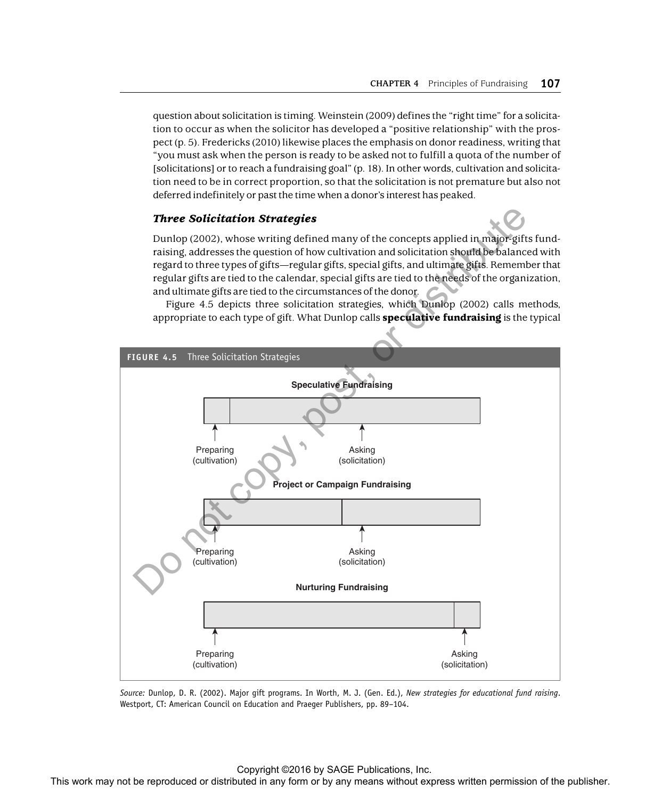question about solicitation is timing. Weinstein (2009) defines the "right time" for a solicitation to occur as when the solicitor has developed a "positive relationship" with the prospect (p. 5). Fredericks (2010) likewise places the emphasis on donor readiness, writing that "you must ask when the person is ready to be asked not to fulfill a quota of the number of [solicitations] or to reach a fundraising goal" (p. 18). In other words, cultivation and solicitation need to be in correct proportion, so that the solicitation is not premature but also not deferred indefinitely or past the time when a donor's interest has peaked.

# *Three Solicitation Strategies*

Dunlop (2002), whose writing defined many of the concepts applied in major-gifts fundraising, addresses the question of how cultivation and solicitation should be balanced with regard to three types of gifts—regular gifts, special gifts, and ultimate gifts. Remember that regular gifts are tied to the calendar, special gifts are tied to the needs of the organization, and ultimate gifts are tied to the circumstances of the donor.

Figure 4.5 depicts three solicitation strategies, which Dunlop (2002) calls methods, appropriate to each type of gift. What Dunlop calls **speculative fundraising** is the typical



*Source:* Dunlop, D. R. (2002). Major gift programs. In Worth, M. J. (Gen. Ed.), *New strategies for educational fund raising*. Westport, CT: American Council on Education and Praeger Publishers, pp. 89–104.

# Copyright ©2016 by SAGE Publications, Inc.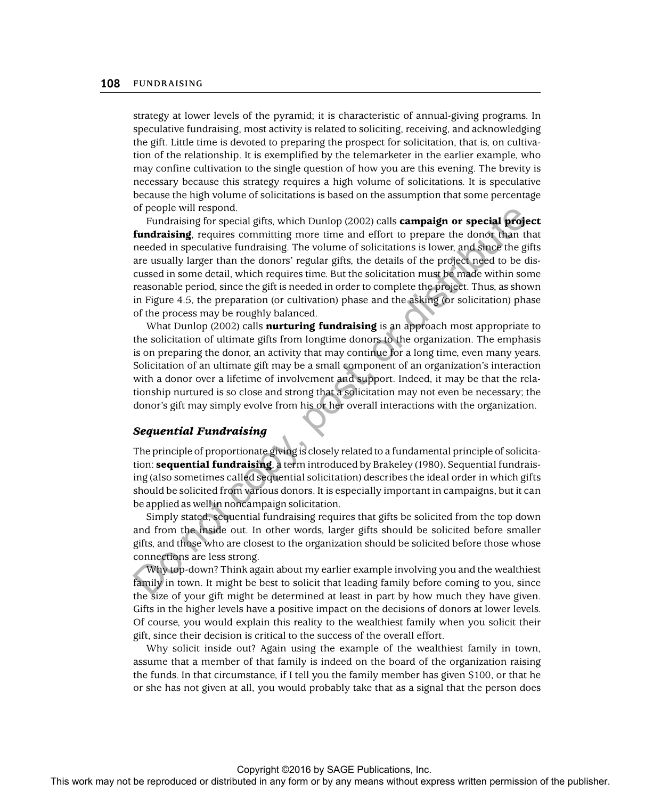strategy at lower levels of the pyramid; it is characteristic of annual-giving programs. In speculative fundraising, most activity is related to soliciting, receiving, and acknowledging the gift. Little time is devoted to preparing the prospect for solicitation, that is, on cultivation of the relationship. It is exemplified by the telemarketer in the earlier example, who may confine cultivation to the single question of how you are this evening. The brevity is necessary because this strategy requires a high volume of solicitations. It is speculative because the high volume of solicitations is based on the assumption that some percentage of people will respond.

Fundraising for special gifts, which Dunlop (2002) calls **campaign or special project fundraising**, requires committing more time and effort to prepare the donor than that needed in speculative fundraising. The volume of solicitations is lower, and since the gifts are usually larger than the donors' regular gifts, the details of the project need to be discussed in some detail, which requires time. But the solicitation must be made within some reasonable period, since the gift is needed in order to complete the project. Thus, as shown in Figure 4.5, the preparation (or cultivation) phase and the asking (or solicitation) phase of the process may be roughly balanced. If Proposition is the constrained continue and the publishers are propositionally a control to the form or by any means which is the publisher and the symphony means which the publishers were alweit any form or by any me

What Dunlop (2002) calls **nurturing fundraising** is an approach most appropriate to the solicitation of ultimate gifts from longtime donors to the organization. The emphasis is on preparing the donor, an activity that may continue for a long time, even many years. Solicitation of an ultimate gift may be a small component of an organization's interaction with a donor over a lifetime of involvement and support. Indeed, it may be that the relationship nurtured is so close and strong that a solicitation may not even be necessary; the donor's gift may simply evolve from his or her overall interactions with the organization.

# *Sequential Fundraising*

The principle of proportionate giving is closely related to a fundamental principle of solicitation: **sequential fundraising**, a term introduced by Brakeley (1980). Sequential fundraising (also sometimes called sequential solicitation) describes the ideal order in which gifts should be solicited from various donors. It is especially important in campaigns, but it can be applied as well in noncampaign solicitation.

Simply stated, sequential fundraising requires that gifts be solicited from the top down and from the inside out. In other words, larger gifts should be solicited before smaller gifts, and those who are closest to the organization should be solicited before those whose connections are less strong.

Why top-down? Think again about my earlier example involving you and the wealthiest family in town. It might be best to solicit that leading family before coming to you, since the size of your gift might be determined at least in part by how much they have given. Gifts in the higher levels have a positive impact on the decisions of donors at lower levels. Of course, you would explain this reality to the wealthiest family when you solicit their gift, since their decision is critical to the success of the overall effort.

Why solicit inside out? Again using the example of the wealthiest family in town, assume that a member of that family is indeed on the board of the organization raising the funds. In that circumstance, if I tell you the family member has given \$100, or that he or she has not given at all, you would probably take that as a signal that the person does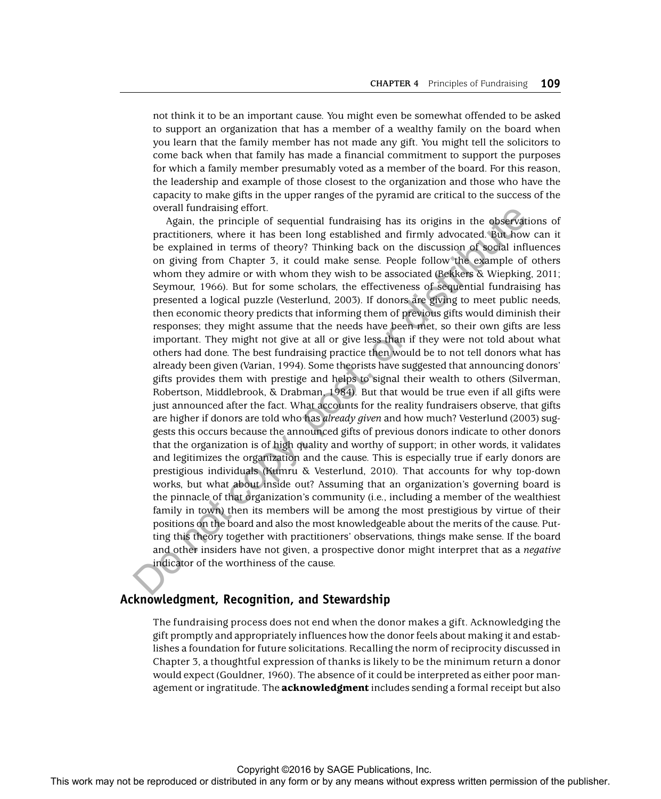not think it to be an important cause. You might even be somewhat offended to be asked to support an organization that has a member of a wealthy family on the board when you learn that the family member has not made any gift. You might tell the solicitors to come back when that family has made a financial commitment to support the purposes for which a family member presumably voted as a member of the board. For this reason, the leadership and example of those closest to the organization and those who have the capacity to make gifts in the upper ranges of the pyramid are critical to the success of the overall fundraising effort.

Again, the principle of sequential fundraising has its origins in the observations of practitioners, where it has been long established and firmly advocated. But how can it be explained in terms of theory? Thinking back on the discussion of social influences on giving from Chapter 3, it could make sense. People follow the example of others whom they admire or with whom they wish to be associated (Bekkers & Wiepking, 2011; Seymour, 1966). But for some scholars, the effectiveness of sequential fundraising has presented a logical puzzle (Vesterlund, 2003). If donors are giving to meet public needs, then economic theory predicts that informing them of previous gifts would diminish their responses; they might assume that the needs have been met, so their own gifts are less important. They might not give at all or give less than if they were not told about what others had done. The best fundraising practice then would be to not tell donors what has already been given (Varian, 1994). Some theorists have suggested that announcing donors' gifts provides them with prestige and helps to signal their wealth to others (Silverman, Robertson, Middlebrook, & Drabman, 1984). But that would be true even if all gifts were just announced after the fact. What accounts for the reality fundraisers observe, that gifts are higher if donors are told who has *already given* and how much? Vesterlund (2003) suggests this occurs because the announced gifts of previous donors indicate to other donors that the organization is of high quality and worthy of support; in other words, it validates and legitimizes the organization and the cause. This is especially true if early donors are prestigious individuals (Kumru & Vesterlund, 2010). That accounts for why top-down works, but what about inside out? Assuming that an organization's governing board is the pinnacle of that organization's community (i.e., including a member of the wealthiest family in town) then its members will be among the most prestigious by virtue of their positions on the board and also the most knowledgeable about the merits of the cause. Putting this theory together with practitioners' observations, things make sense. If the board and other insiders have not given, a prospective donor might interpret that as a *negative* indicator of the worthiness of the cause. overal tuotenality entote or by any form or the reproduced or distributed in any form or by any form or by any form or by any form or by any means when the reproduced or the reproduced or the reproduced or the reproduced i

# **Acknowledgment, Recognition, and Stewardship**

The fundraising process does not end when the donor makes a gift. Acknowledging the gift promptly and appropriately influences how the donor feels about making it and establishes a foundation for future solicitations. Recalling the norm of reciprocity discussed in Chapter 3, a thoughtful expression of thanks is likely to be the minimum return a donor would expect (Gouldner, 1960). The absence of it could be interpreted as either poor management or ingratitude. The **acknowledgment** includes sending a formal receipt but also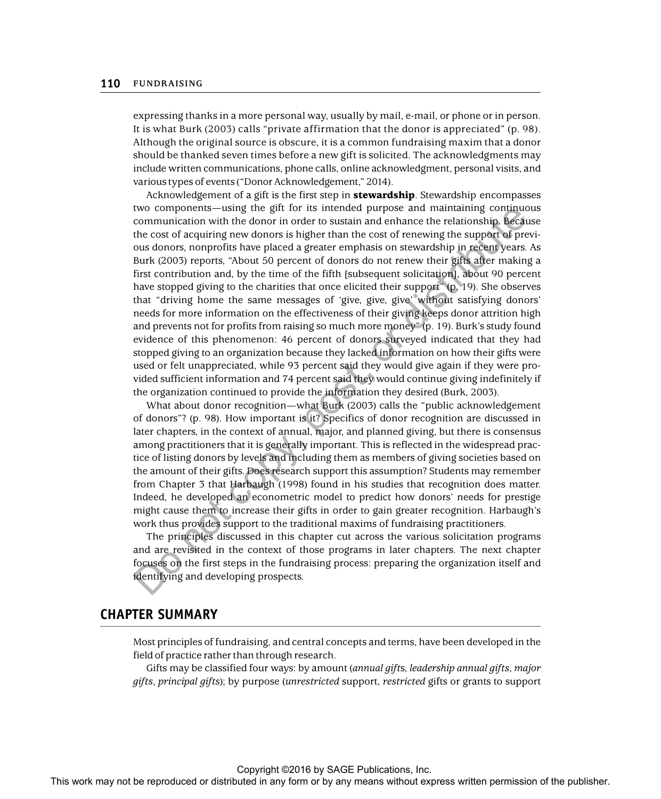expressing thanks in a more personal way, usually by mail, e-mail, or phone or in person. It is what Burk (2003) calls "private affirmation that the donor is appreciated" (p. 98). Although the original source is obscure, it is a common fundraising maxim that a donor should be thanked seven times before a new gift is solicited. The acknowledgments may include written communications, phone calls, online acknowledgment, personal visits, and various types of events ("Donor Acknowledgement," 2014).

Acknowledgement of a gift is the first step in **stewardship**. Stewardship encompasses two components—using the gift for its intended purpose and maintaining continuous communication with the donor in order to sustain and enhance the relationship. Because the cost of acquiring new donors is higher than the cost of renewing the support of previous donors, nonprofits have placed a greater emphasis on stewardship in recent years. As Burk (2003) reports, "About 50 percent of donors do not renew their gifts after making a first contribution and, by the time of the fifth [subsequent solicitation], about 90 percent have stopped giving to the charities that once elicited their support" (p. 19). She observes that "driving home the same messages of 'give, give, give' without satisfying donors' needs for more information on the effectiveness of their giving keeps donor attrition high and prevents not for profits from raising so much more money" (p. 19). Burk's study found evidence of this phenomenon: 46 percent of donors surveyed indicated that they had stopped giving to an organization because they lacked information on how their gifts were used or felt unappreciated, while 93 percent said they would give again if they were provided sufficient information and 74 percent said they would continue giving indefinitely if the organization continued to provide the information they desired (Burk, 2003). The components—intered in any form or the reproduced or distributed in any form or by any means without express with the publisher or the publisher or the publisher or the publisher. Some the publisher or the publisher or

What about donor recognition—what Burk (2003) calls the "public acknowledgement of donors"? (p. 98). How important is it? Specifics of donor recognition are discussed in later chapters, in the context of annual, major, and planned giving, but there is consensus among practitioners that it is generally important. This is reflected in the widespread practice of listing donors by levels and including them as members of giving societies based on the amount of their gifts. Does research support this assumption? Students may remember from Chapter 3 that Harbaugh (1998) found in his studies that recognition does matter. Indeed, he developed an econometric model to predict how donors' needs for prestige might cause them to increase their gifts in order to gain greater recognition. Harbaugh's work thus provides support to the traditional maxims of fundraising practitioners.

The principles discussed in this chapter cut across the various solicitation programs and are revisited in the context of those programs in later chapters. The next chapter focuses on the first steps in the fundraising process: preparing the organization itself and identifying and developing prospects.

# **CHAPTER SUMMARY**

Most principles of fundraising, and central concepts and terms, have been developed in the field of practice rather than through research.

Gifts may be classified four ways: by amount (*annual gift*s, *leadership annual gifts*, *major gifts*, *principal gifts*); by purpose (*unrestricted* support, *restricted* gifts or grants to support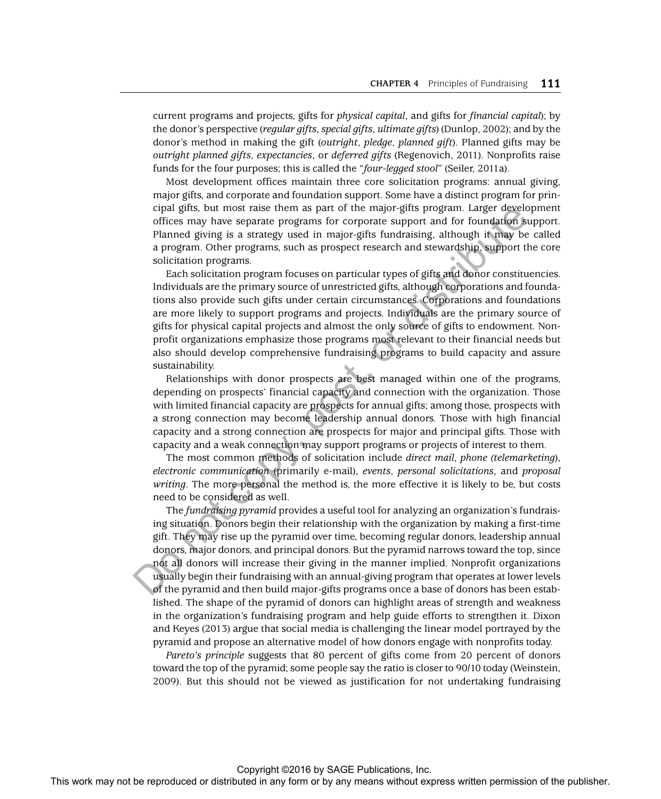current programs and projects, gifts for *physical capital*, and gifts for *financial capital*); by the donor's perspective (*regular gifts*, *special gifts*, *ultimate gifts*) (Dunlop, 2002); and by the donor's method in making the gift (*outright*, *pledge*, *planned gift*). Planned gifts may be *outright planned gifts*, *expectancies*, or *deferred gifts* (Regenovich, 2011). Nonprofits raise funds for the four purposes; this is called the "*four-legged stool*" (Seiler, 2011a).

Most development offices maintain three core solicitation programs: annual giving, major gifts, and corporate and foundation support. Some have a distinct program for principal gifts, but most raise them as part of the major-gifts program. Larger development offices may have separate programs for corporate support and for foundation support. Planned giving is a strategy used in major-gifts fundraising, although it may be called a program. Other programs, such as prospect research and stewardship, support the core solicitation programs.

Each solicitation program focuses on particular types of gifts and donor constituencies. Individuals are the primary source of unrestricted gifts, although corporations and foundations also provide such gifts under certain circumstances. Corporations and foundations are more likely to support programs and projects. Individuals are the primary source of gifts for physical capital projects and almost the only source of gifts to endowment. Nonprofit organizations emphasize those programs most relevant to their financial needs but also should develop comprehensive fundraising programs to build capacity and assure sustainability.

Relationships with donor prospects are best managed within one of the programs, depending on prospects' financial capacity and connection with the organization. Those with limited financial capacity are prospects for annual gifts; among those, prospects with a strong connection may become leadership annual donors. Those with high financial capacity and a strong connection are prospects for major and principal gifts. Those with capacity and a weak connection may support programs or projects of interest to them.

The most common methods of solicitation include *direct mail*, *phone (telemarketing*), *electronic communication* (primarily e-mail), *events*, *personal solicitations*, and *proposal writing*. The more personal the method is, the more effective it is likely to be, but costs need to be considered as well.

The *fundraising pyramid* provides a useful tool for analyzing an organization's fundraising situation. Donors begin their relationship with the organization by making a first-time gift. They may rise up the pyramid over time, becoming regular donors, leadership annual donors, major donors, and principal donors. But the pyramid narrows toward the top, since not all donors will increase their giving in the manner implied. Nonprofit organizations usually begin their fundraising with an annual-giving program that operates at lower levels of the pyramid and then build major-gifts programs once a base of donors has been established. The shape of the pyramid of donors can highlight areas of strength and weakness in the organization's fundraising program and help guide efforts to strengthen it. Dixon and Keyes (2013) argue that social media is challenging the linear model portrayed by the pyramid and propose an alternative model of how donors engage with nonprofits today. Capacity and some reproduced or distributed in any or the reproduced in any means with the publisher and the publisher and the publisher and the publisher and the publisher and the publisher and the publisher and the publi

*Pareto's principle* suggests that 80 percent of gifts come from 20 percent of donors toward the top of the pyramid; some people say the ratio is closer to 90/10 today ( Weinstein, 2009). But this should not be viewed as justification for not undertaking fundraising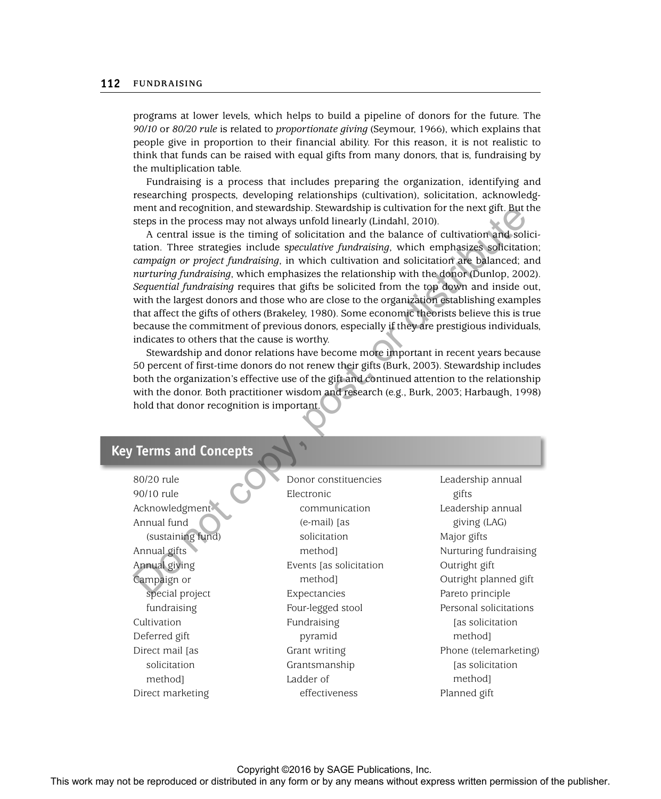programs at lower levels, which helps to build a pipeline of donors for the future. The *90/10* or *80/20 rule* is related to *proportionate giving* (Seymour, 1966), which explains that people give in proportion to their financial ability. For this reason, it is not realistic to think that funds can be raised with equal gifts from many donors, that is, fundraising by the multiplication table.

Fundraising is a process that includes preparing the organization, identifying and researching prospects, developing relationships (cultivation), solicitation, acknowledgment and recognition, and stewardship. Stewardship is cultivation for the next gift. But the steps in the process may not always unfold linearly (Lindahl, 2010).

| indicates to others that the cause is worthy.<br>hold that donor recognition is important.<br><b>Key Terms and Concepts</b> | tation. Three strategies include speculative fundraising, which emphasizes solicitation;<br>campaign or project fundraising, in which cultivation and solicitation are balanced; and<br>nurturing fundraising, which emphasizes the relationship with the donor (Dunlop, 2002).<br>Sequential fundraising requires that gifts be solicited from the top down and inside out,<br>with the largest donors and those who are close to the organization establishing examples<br>that affect the gifts of others (Brakeley, 1980). Some economic theorists believe this is true<br>because the commitment of previous donors, especially if they are prestigious individuals,<br>Stewardship and donor relations have become more important in recent years because<br>50 percent of first-time donors do not renew their gifts (Burk, 2003). Stewardship includes<br>both the organization's effective use of the gift and continued attention to the relationship<br>with the donor. Both practitioner wisdom and research (e.g., Burk, 2003; Harbaugh, 1998) |                        |
|-----------------------------------------------------------------------------------------------------------------------------|-------------------------------------------------------------------------------------------------------------------------------------------------------------------------------------------------------------------------------------------------------------------------------------------------------------------------------------------------------------------------------------------------------------------------------------------------------------------------------------------------------------------------------------------------------------------------------------------------------------------------------------------------------------------------------------------------------------------------------------------------------------------------------------------------------------------------------------------------------------------------------------------------------------------------------------------------------------------------------------------------------------------------------------------------------------|------------------------|
|                                                                                                                             |                                                                                                                                                                                                                                                                                                                                                                                                                                                                                                                                                                                                                                                                                                                                                                                                                                                                                                                                                                                                                                                             |                        |
| 80/20 rule                                                                                                                  | Donor constituencies                                                                                                                                                                                                                                                                                                                                                                                                                                                                                                                                                                                                                                                                                                                                                                                                                                                                                                                                                                                                                                        | Leadership annual      |
| 90/10 rule                                                                                                                  | Electronic                                                                                                                                                                                                                                                                                                                                                                                                                                                                                                                                                                                                                                                                                                                                                                                                                                                                                                                                                                                                                                                  | gifts                  |
| Acknowledgment                                                                                                              | communication                                                                                                                                                                                                                                                                                                                                                                                                                                                                                                                                                                                                                                                                                                                                                                                                                                                                                                                                                                                                                                               | Leadership annual      |
| Annual fund                                                                                                                 | (e-mail) [as                                                                                                                                                                                                                                                                                                                                                                                                                                                                                                                                                                                                                                                                                                                                                                                                                                                                                                                                                                                                                                                | giving (LAG)           |
| (sustaining fund)                                                                                                           | solicitation                                                                                                                                                                                                                                                                                                                                                                                                                                                                                                                                                                                                                                                                                                                                                                                                                                                                                                                                                                                                                                                | Major gifts            |
| Annual gifts                                                                                                                | method]                                                                                                                                                                                                                                                                                                                                                                                                                                                                                                                                                                                                                                                                                                                                                                                                                                                                                                                                                                                                                                                     | Nurturing fundraising  |
| Annual giving                                                                                                               | Events [as solicitation                                                                                                                                                                                                                                                                                                                                                                                                                                                                                                                                                                                                                                                                                                                                                                                                                                                                                                                                                                                                                                     | Outright gift          |
| Campaign or                                                                                                                 | method]                                                                                                                                                                                                                                                                                                                                                                                                                                                                                                                                                                                                                                                                                                                                                                                                                                                                                                                                                                                                                                                     | Outright planned gift  |
| special project                                                                                                             | Expectancies                                                                                                                                                                                                                                                                                                                                                                                                                                                                                                                                                                                                                                                                                                                                                                                                                                                                                                                                                                                                                                                | Pareto principle       |
| fundraising                                                                                                                 | Four-legged stool                                                                                                                                                                                                                                                                                                                                                                                                                                                                                                                                                                                                                                                                                                                                                                                                                                                                                                                                                                                                                                           | Personal solicitations |
| Cultivation                                                                                                                 | Fundraising                                                                                                                                                                                                                                                                                                                                                                                                                                                                                                                                                                                                                                                                                                                                                                                                                                                                                                                                                                                                                                                 | [as solicitation       |
| Deferred gift                                                                                                               | pyramid                                                                                                                                                                                                                                                                                                                                                                                                                                                                                                                                                                                                                                                                                                                                                                                                                                                                                                                                                                                                                                                     | method]                |
| Direct mail [as                                                                                                             | Grant writing                                                                                                                                                                                                                                                                                                                                                                                                                                                                                                                                                                                                                                                                                                                                                                                                                                                                                                                                                                                                                                               | Phone (telemarketing)  |
| solicitation                                                                                                                | Grantsmanship                                                                                                                                                                                                                                                                                                                                                                                                                                                                                                                                                                                                                                                                                                                                                                                                                                                                                                                                                                                                                                               | [as solicitation       |
| method]                                                                                                                     | Ladder of<br>effectiveness                                                                                                                                                                                                                                                                                                                                                                                                                                                                                                                                                                                                                                                                                                                                                                                                                                                                                                                                                                                                                                  | method]                |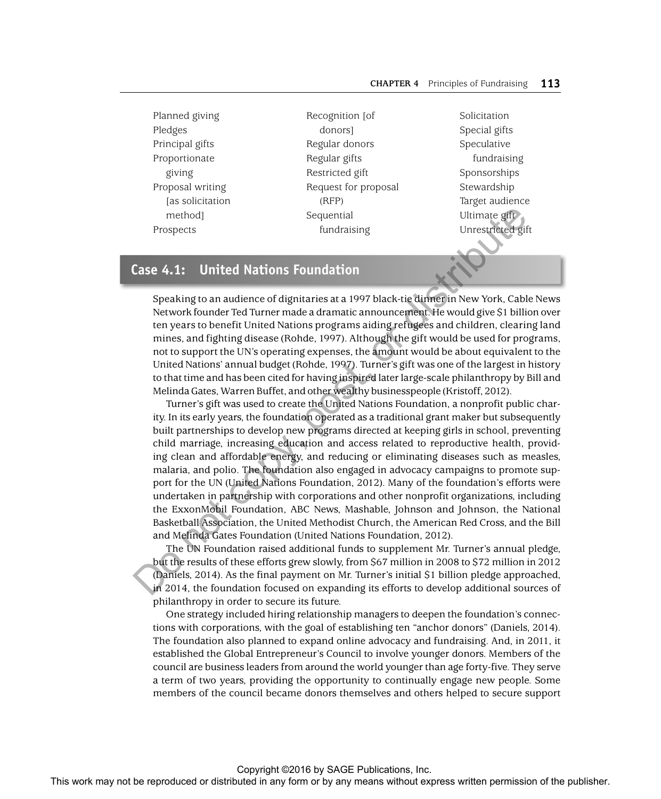Planned giving Pledges Principal gifts Proportionate giving Proposal writing [as solicitation method] Prospects

Recognition [of donors] Regular donors Regular gifts Restricted gift Request for proposal (RFP) Sequential fundraising

Solicitation Special gifts Speculative fundraising Sponsorships Stewardship Target audience Ultimate gift Unrestricted gift

# **Case 4.1: United Nations Foundation**

Speaking to an audience of dignitaries at a 1997 black-tie dinner in New York, Cable News Network founder Ted Turner made a dramatic announcement. He would give \$1 billion over ten years to benefit United Nations programs aiding refugees and children, clearing land mines, and fighting disease (Rohde, 1997). Although the gift would be used for programs, not to support the UN's operating expenses, the amount would be about equivalent to the United Nations' annual budget (Rohde, 1997). Turner's gift was one of the largest in history to that time and has been cited for having inspired later large-scale philanthropy by Bill and Melinda Gates, Warren Buffet, and other wealthy businesspeople (Kristoff, 2012).

Turner's gift was used to create the United Nations Foundation, a nonprofit public charity. In its early years, the foundation operated as a traditional grant maker but subsequently built partnerships to develop new programs directed at keeping girls in school, preventing child marriage, increasing education and access related to reproductive health, providing clean and affordable energy, and reducing or eliminating diseases such as measles, malaria, and polio. The foundation also engaged in advocacy campaigns to promote support for the UN (United Nations Foundation, 2012). Many of the foundation's efforts were undertaken in partnership with corporations and other nonprofit organizations, including the ExxonMobil Foundation, ABC News, Mashable, Johnson and Johnson, the National Basketball Association, the United Methodist Church, the American Red Cross, and the Bill and Melinda Gates Foundation (United Nations Foundation, 2012). This is expected or the reproduced or distributed in any form or by any means which calin New York may not be reproduced or any means when  $\alpha$  the publisher. This was the reproduced or the publisher. This was the publish

The UN Foundation raised additional funds to supplement Mr. Turner's annual pledge, but the results of these efforts grew slowly, from \$67 million in 2008 to \$72 million in 2012 (Daniels, 2014). As the final payment on Mr. Turner's initial \$1 billion pledge approached, in 2014, the foundation focused on expanding its efforts to develop additional sources of philanthropy in order to secure its future.

One strategy included hiring relationship managers to deepen the foundation's connections with corporations, with the goal of establishing ten "anchor donors" (Daniels, 2014). The foundation also planned to expand online advocacy and fundraising. And, in 2011, it established the Global Entrepreneur's Council to involve younger donors. Members of the council are business leaders from around the world younger than age forty-five. They serve a term of two years, providing the opportunity to continually engage new people. Some members of the council became donors themselves and others helped to secure support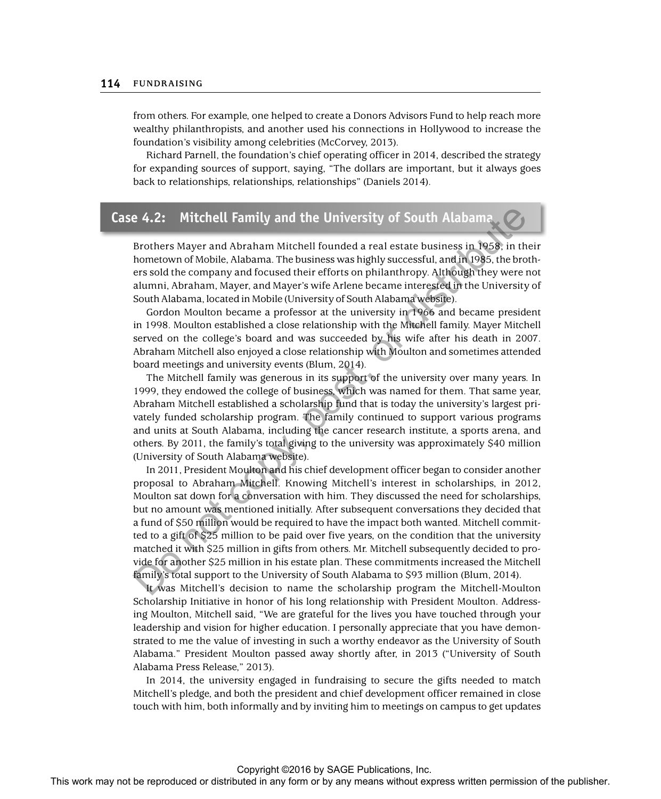from others. For example, one helped to create a Donors Advisors Fund to help reach more wealthy philanthropists, and another used his connections in Hollywood to increase the foundation's visibility among celebrities (McCorvey, 2013).

Richard Parnell, the foundation's chief operating officer in 2014, described the strategy for expanding sources of support, saying, "The dollars are important, but it always goes back to relationships, relationships, relationships" (Daniels 2014).

# **Case 4.2: Mitchell Family and the University of South Alabama**

Brothers Mayer and Abraham Mitchell founded a real estate business in 1958, in their hometown of Mobile, Alabama. The business was highly successful, and in 1985, the brothers sold the company and focused their efforts on philanthropy. Although they were not alumni, Abraham, Mayer, and Mayer's wife Arlene became interested in the University of South Alabama, located in Mobile (University of South Alabama website).

Gordon Moulton became a professor at the university in 1966 and became president in 1998. Moulton established a close relationship with the Mitchell family. Mayer Mitchell served on the college's board and was succeeded by his wife after his death in 2007. Abraham Mitchell also enjoyed a close relationship with Moulton and sometimes attended board meetings and university events (Blum, 2014).

The Mitchell family was generous in its support of the university over many years. In 1999, they endowed the college of business, which was named for them. That same year, Abraham Mitchell established a scholarship fund that is today the university's largest privately funded scholarship program. The family continued to support various programs and units at South Alabama, including the cancer research institute, a sports arena, and others. By 2011, the family's total giving to the university was approximately \$40 million (University of South Alabama website).

In 2011, President Moulton and his chief development officer began to consider another proposal to Abraham Mitchell. Knowing Mitchell's interest in scholarships, in 2012, Moulton sat down for a conversation with him. They discussed the need for scholarships, but no amount was mentioned initially. After subsequent conversations they decided that a fund of \$50 million would be required to have the impact both wanted. Mitchell committed to a gift of \$25 million to be paid over five years, on the condition that the university matched it with \$25 million in gifts from others. Mr. Mitchell subsequently decided to provide for another \$25 million in his estate plan. These commitments increased the Mitchell family's total support to the University of South Alabama to \$93 million (Blum, 2014). Case 4.2: Mitchell Family and the University of South Alabame.<br>
Income Novem and Moham Mitchell founded a real escape in shell means when the result in a measure in the result of the company and found the reflection polit

It was Mitchell's decision to name the scholarship program the Mitchell-Moulton Scholarship Initiative in honor of his long relationship with President Moulton. Addressing Moulton, Mitchell said, "We are grateful for the lives you have touched through your leadership and vision for higher education. I personally appreciate that you have demonstrated to me the value of investing in such a worthy endeavor as the University of South Alabama." President Moulton passed away shortly after, in 2013 ("University of South Alabama Press Release," 2013).

In 2014, the university engaged in fundraising to secure the gifts needed to match Mitchell's pledge, and both the president and chief development officer remained in close touch with him, both informally and by inviting him to meetings on campus to get updates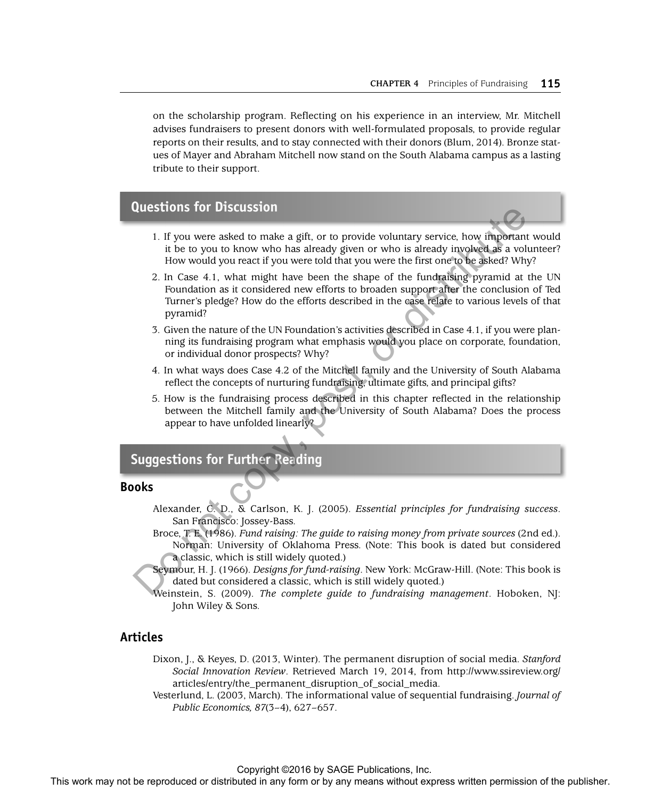on the scholarship program. Reflecting on his experience in an interview, Mr. Mitchell advises fundraisers to present donors with well-formulated proposals, to provide regular reports on their results, and to stay connected with their donors (Blum, 2014). Bronze statues of Mayer and Abraham Mitchell now stand on the South Alabama campus as a lasting tribute to their support.

# **Questions for Discussion**

- 1. If you were asked to make a gift, or to provide voluntary service, how important would it be to you to know who has already given or who is already involved as a volunteer? How would you react if you were told that you were the first one to be asked? Why?
- 2. In Case 4.1, what might have been the shape of the fundraising pyramid at the UN Foundation as it considered new efforts to broaden support after the conclusion of Ted Turner's pledge? How do the efforts described in the case relate to various levels of that pyramid? The repression of the reproduced or the reproduced in any form or by any means which are the reproduced or the reproduced in any means when the publisher and the publisher of the form of the publisher. This was not be rep
	- 3. Given the nature of the UN Foundation's activities described in Case 4.1, if you were planning its fundraising program what emphasis would you place on corporate, foundation, or individual donor prospects? Why?
	- 4. In what ways does Case 4.2 of the Mitchell family and the University of South Alabama reflect the concepts of nurturing fundraising, ultimate gifts, and principal gifts?
	- 5. How is the fundraising process described in this chapter reflected in the relationship between the Mitchell family and the University of South Alabama? Does the process appear to have unfolded linearly?

# **Suggestions for Further Reading**

# **Books**

- Alexander, C. D., & Carlson, K. J. (2005). *Essential principles for fundraising success*. San Francisco: Jossey-Bass.
- Broce, T. E. (1986). *Fund raising: The guide to raising money from private sources* (2nd ed.). Norman: University of Oklahoma Press. (Note: This book is dated but considered a classic, which is still widely quoted.)
- Seymour, H. J. (1966). *Designs for fund-raising*. New York: McGraw-Hill. (Note: This book is dated but considered a classic, which is still widely quoted.)
- Weinstein, S. (2009). *The complete guide to fundraising management*. Hoboken, NJ: John Wiley & Sons.

# **Articles**

- Dixon, J., & Keyes, D. (2013, Winter). The permanent disruption of social media. *Stanford Social Innovation Review*. Retrieved March 19, 2014, from http://www.ssireview.org/ articles/entry/the\_permanent\_disruption\_of\_social\_media.
- Vesterlund, L. (2003, March). The informational value of sequential fundraising. *Journal of Public Economics, 87*(3–4), 627–657.